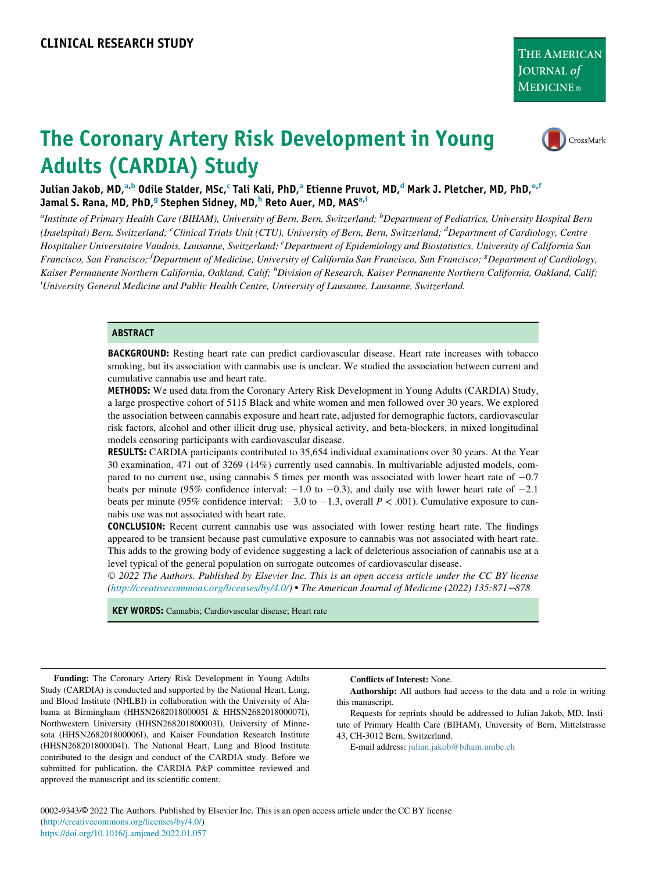# CrossMark

# The Coronary Artery Risk Development in Young Adults (CARDIA) Study

Julian Jakob, MD,<sup>[a,b](#page-0-0)</sup> Odile Stalder, MS[c](#page-0-1),<sup>c</sup> T[a](#page-0-0)li Kali, PhD,<sup>a</sup> Etienne Pruvot, MD,<sup>[d](#page-0-1)</sup> Mark J. Pl[e](#page-0-2)tcher, MD, PhD,<sup>e[,f](#page-0-3)</sup> Jamal S. Rana, MD, PhD,<sup>[g](#page-0-3)</sup> Step[h](#page-0-4)en Sidney, MD,<sup>h</sup> Reto Auer, MD, MAS<sup>[a](#page-0-0)[,i](#page-0-4)</sup>

<span id="page-0-4"></span><span id="page-0-3"></span><span id="page-0-2"></span><span id="page-0-1"></span><span id="page-0-0"></span><sup>a</sup>Institute of Primary Health Care (BIHAM), University of Bern, Bern, Switzerland; <sup>b</sup>Department of Pediatrics, University Hospital Bern (Inselspital) Bern, Switzerland; <sup>c</sup>Clinical Trials Unit (CTU), University of Bern, Bern, Switzerland; <sup>d</sup>Department of Cardiology, Centre Hospitalier Universitaire Vaudois, Lausanne, Switzerland; <sup>e</sup>Department of Epidemiology and Biostatistics, University of California San Francisco, San Francisco; <sup>f</sup>Department of Medicine, University of California San Francisco, San Francisco; <sup>8</sup>Department of Cardiology, Kaiser Permanente Northern California, Oakland, Calif; <sup>h</sup>Division of Research, Kaiser Permanente Northern California, Oakland, Calif; i University General Medicine and Public Health Centre, University of Lausanne, Lausanne, Switzerland.

#### **ABSTRACT**

**BACKGROUND:** Resting heart rate can predict cardiovascular disease. Heart rate increases with tobacco smoking, but its association with cannabis use is unclear. We studied the association between current and cumulative cannabis use and heart rate.

METHODS: We used data from the Coronary Artery Risk Development in Young Adults (CARDIA) Study, a large prospective cohort of 5115 Black and white women and men followed over 30 years. We explored the association between cannabis exposure and heart rate, adjusted for demographic factors, cardiovascular risk factors, alcohol and other illicit drug use, physical activity, and beta-blockers, in mixed longitudinal models censoring participants with cardiovascular disease.

RESULTS: CARDIA participants contributed to 35,654 individual examinations over 30 years. At the Year 30 examination, 471 out of 3269 (14%) currently used cannabis. In multivariable adjusted models, compared to no current use, using cannabis 5 times per month was associated with lower heart rate of  $-0.7$ beats per minute (95% confidence interval:  $-1.0$  to  $-0.3$ ), and daily use with lower heart rate of  $-2.1$ beats per minute (95% confidence interval:  $-3.0$  to  $-1.3$ , overall  $P < .001$ ). Cumulative exposure to cannabis use was not associated with heart rate.

CONCLUSION: Recent current cannabis use was associated with lower resting heart rate. The findings appeared to be transient because past cumulative exposure to cannabis was not associated with heart rate. This adds to the growing body of evidence suggesting a lack of deleterious association of cannabis use at a level typical of the general population on surrogate outcomes of cardiovascular disease.

 2022 The Authors. Published by Elsevier Inc. This is an open access article under the CC BY license (<http://creativecommons.org/licenses/by/4.0/>) The American Journal of Medicine (2022) 135:871−878

KEY WORDS: Cannabis; Cardiovascular disease; Heart rate

Funding: The Coronary Artery Risk Development in Young Adults Study (CARDIA) is conducted and supported by the National Heart, Lung, and Blood Institute (NHLBI) in collaboration with the University of Alabama at Birmingham (HHSN268201800005I & HHSN268201800007I), Northwestern University (HHSN268201800003I), University of Minnesota (HHSN268201800006I), and Kaiser Foundation Research Institute (HHSN268201800004I). The National Heart, Lung and Blood Institute contributed to the design and conduct of the CARDIA study. Before we submitted for publication, the CARDIA P&P committee reviewed and approved the manuscript and its scientific content.

Conflicts of Interest: None.

Authorship: All authors had access to the data and a role in writing this manuscript.

Requests for reprints should be addressed to Julian Jakob, MD, Institute of Primary Health Care (BIHAM), University of Bern, Mittelstrasse 43, CH-3012 Bern, Switzerland.

E-mail address: [julian.jakob@biham.unibe.ch](mailto:julian.jakob@biham.unibe.ch)

0002-9343/© 2022 The Authors. Published by Elsevier Inc. This is an open access article under the CC BY license [\(http://creativecommons.org/licenses/by/4.0/\)](http://creativecommons.org/licenses/by/4.0/) <https://doi.org/10.1016/j.amjmed.2022.01.057>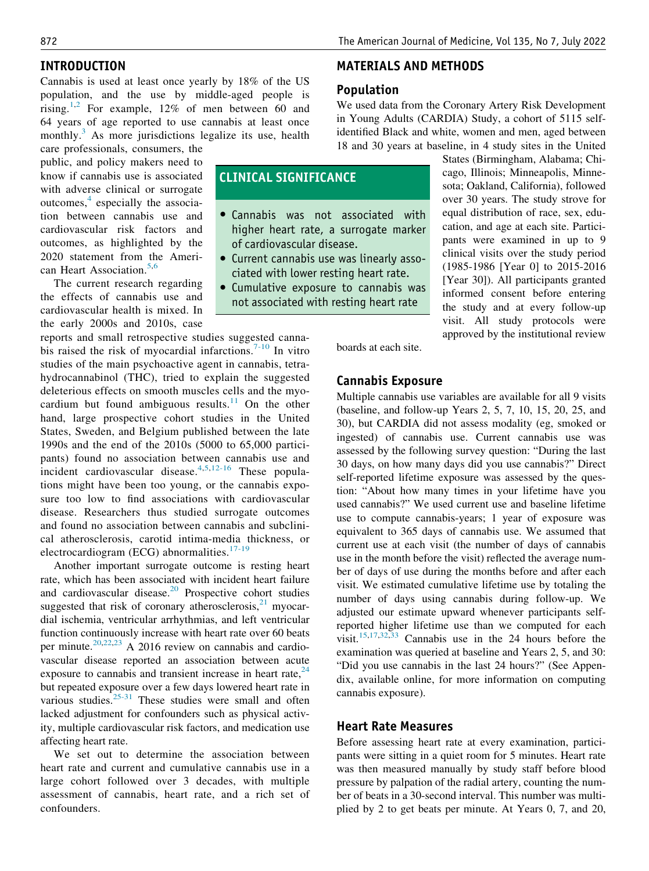## INTRODUCTION

Cannabis is used at least once yearly by 18% of the US population, and the use by middle-aged people is rising.<sup>[1,](#page-6-0)[2](#page-6-1)</sup> For example, 12% of men between 60 and 64 years of age reported to use cannabis at least once monthly.<sup>[3](#page-6-2)</sup> As more jurisdictions legalize its use, health

care professionals, consumers, the public, and policy makers need to know if cannabis use is associated with adverse clinical or surrogate outcomes, $<sup>4</sup>$  $<sup>4</sup>$  $<sup>4</sup>$  especially the associa-</sup> tion between cannabis use and cardiovascular risk factors and outcomes, as highlighted by the 2020 statement from the Ameri-can Heart Association.<sup>[5](#page-6-4)[,6](#page-6-5)</sup>

The current research regarding the effects of cannabis use and cardiovascular health is mixed. In the early 2000s and 2010s, case

reports and small retrospective studies suggested canna-bis raised the risk of myocardial infarctions.<sup>[7-10](#page-6-6)</sup> In vitro studies of the main psychoactive agent in cannabis, tetrahydrocannabinol (THC), tried to explain the suggested deleterious effects on smooth muscles cells and the myo-cardium but found ambiguous results.<sup>[11](#page-7-0)</sup> On the other hand, large prospective cohort studies in the United States, Sweden, and Belgium published between the late 1990s and the end of the 2010s (5000 to 65,000 participants) found no association between cannabis use and pants) round no association setwom cannabis ase and<br>incident cardiovascular disease.<sup>[4](#page-6-3),[5](#page-6-4)[,12-16](#page-7-1)</sup> These populations might have been too young, or the cannabis exposure too low to find associations with cardiovascular disease. Researchers thus studied surrogate outcomes and found no association between cannabis and subclinical atherosclerosis, carotid intima-media thickness, or electrocardiogram (ECG) abnormalities.<sup>[17-19](#page-7-2)</sup>

Another important surrogate outcome is resting heart rate, which has been associated with incident heart failure and cardiovascular disease.[20](#page-7-3) Prospective cohort studies suggested that risk of coronary atherosclerosis, $^{21}$  $^{21}$  $^{21}$  myocardial ischemia, ventricular arrhythmias, and left ventricular function continuously increase with heart rate over 60 beats per minute.[20,](#page-7-3)[22](#page-7-5)[,23](#page-7-6) A 2016 review on cannabis and cardiovascular disease reported an association between acute exposure to cannabis and transient increase in heart rate,  $24$ but repeated exposure over a few days lowered heart rate in various studies.<sup>[25-31](#page-7-8)</sup> These studies were small and often lacked adjustment for confounders such as physical activity, multiple cardiovascular risk factors, and medication use affecting heart rate.

We set out to determine the association between heart rate and current and cumulative cannabis use in a large cohort followed over 3 decades, with multiple assessment of cannabis, heart rate, and a rich set of confounders.

## MATERIALS AND METHODS

## Population

CLINICAL SIGNIFICANCE

of cardiovascular disease.

 Cannabis was not associated with higher heart rate, a surrogate marker

 Current cannabis use was linearly associated with lower resting heart rate. Cumulative exposure to cannabis was not associated with resting heart rate

We used data from the Coronary Artery Risk Development in Young Adults (CARDIA) Study, a cohort of 5115 selfidentified Black and white, women and men, aged between 18 and 30 years at baseline, in 4 study sites in the United

> States (Birmingham, Alabama; Chicago, Illinois; Minneapolis, Minnesota; Oakland, California), followed over 30 years. The study strove for equal distribution of race, sex, education, and age at each site. Participants were examined in up to 9 clinical visits over the study period (1985-1986 [Year 0] to 2015-2016 [Year 30]). All participants granted informed consent before entering the study and at every follow-up visit. All study protocols were approved by the institutional review

boards at each site.

# Cannabis Exposure

Multiple cannabis use variables are available for all 9 visits (baseline, and follow-up Years 2, 5, 7, 10, 15, 20, 25, and 30), but CARDIA did not assess modality (eg, smoked or ingested) of cannabis use. Current cannabis use was assessed by the following survey question: "During the last 30 days, on how many days did you use cannabis?" Direct self-reported lifetime exposure was assessed by the question: "About how many times in your lifetime have you used cannabis?" We used current use and baseline lifetime use to compute cannabis-years; 1 year of exposure was equivalent to 365 days of cannabis use. We assumed that current use at each visit (the number of days of cannabis use in the month before the visit) reflected the average number of days of use during the months before and after each visit. We estimated cumulative lifetime use by totaling the number of days using cannabis during follow-up. We adjusted our estimate upward whenever participants selfreported higher lifetime use than we computed for each visit.[15](#page-7-9),[17](#page-7-2)[,32,](#page-7-10)[33](#page-7-11) Cannabis use in the 24 hours before the examination was queried at baseline and Years 2, 5, and 30: "Did you use cannabis in the last 24 hours?" (See Appendix, available online, for more information on computing cannabis exposure).

## Heart Rate Measures

Before assessing heart rate at every examination, participants were sitting in a quiet room for 5 minutes. Heart rate was then measured manually by study staff before blood pressure by palpation of the radial artery, counting the number of beats in a 30-second interval. This number was multiplied by 2 to get beats per minute. At Years 0, 7, and 20,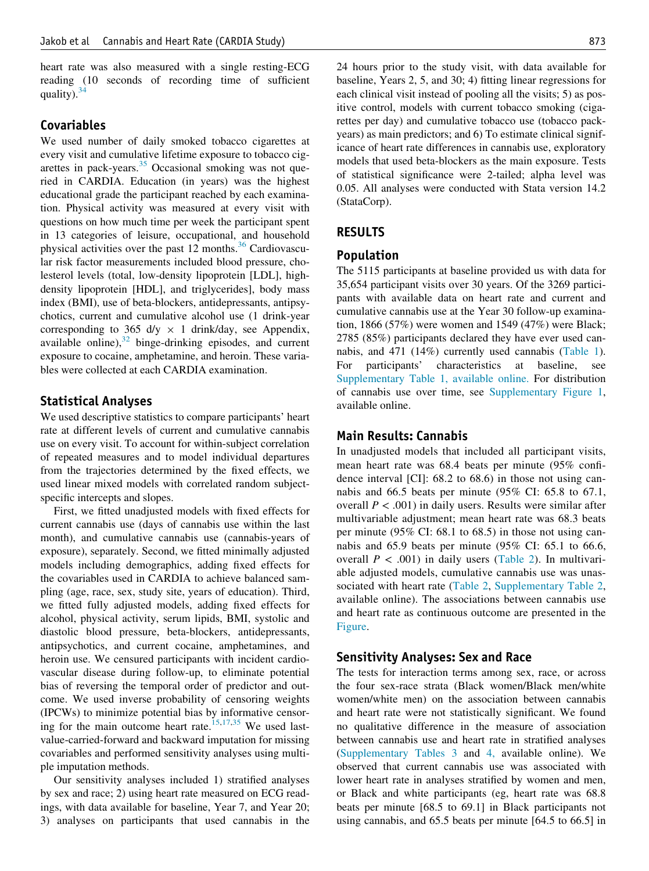heart rate was also measured with a single resting-ECG reading (10 seconds of recording time of sufficient quality). $34$ 

## Covariables

We used number of daily smoked tobacco cigarettes at every visit and cumulative lifetime exposure to tobacco cigarettes in pack-years. $35$  Occasional smoking was not queried in CARDIA. Education (in years) was the highest educational grade the participant reached by each examination. Physical activity was measured at every visit with questions on how much time per week the participant spent in 13 categories of leisure, occupational, and household physical activities over the past 12 months. $36$  Cardiovascular risk factor measurements included blood pressure, cholesterol levels (total, low-density lipoprotein [LDL], highdensity lipoprotein [HDL], and triglycerides], body mass index (BMI), use of beta-blockers, antidepressants, antipsychotics, current and cumulative alcohol use (1 drink-year corresponding to 365 d/y  $\times$  1 drink/day, see Appendix, available online),<sup>[32](#page-7-10)</sup> binge-drinking episodes, and current exposure to cocaine, amphetamine, and heroin. These variables were collected at each CARDIA examination.

## Statistical Analyses

We used descriptive statistics to compare participants' heart rate at different levels of current and cumulative cannabis use on every visit. To account for within-subject correlation of repeated measures and to model individual departures from the trajectories determined by the fixed effects, we used linear mixed models with correlated random subjectspecific intercepts and slopes.

First, we fitted unadjusted models with fixed effects for current cannabis use (days of cannabis use within the last month), and cumulative cannabis use (cannabis-years of exposure), separately. Second, we fitted minimally adjusted models including demographics, adding fixed effects for the covariables used in CARDIA to achieve balanced sampling (age, race, sex, study site, years of education). Third, we fitted fully adjusted models, adding fixed effects for alcohol, physical activity, serum lipids, BMI, systolic and diastolic blood pressure, beta-blockers, antidepressants, antipsychotics, and current cocaine, amphetamines, and heroin use. We censured participants with incident cardiovascular disease during follow-up, to eliminate potential bias of reversing the temporal order of predictor and outcome. We used inverse probability of censoring weights (IPCWs) to minimize potential bias by informative censor-ing for the main outcome heart rate.<sup>[15](#page-7-9)[,17](#page-7-2)[,35](#page-7-13)</sup> We used lastvalue-carried-forward and backward imputation for missing covariables and performed sensitivity analyses using multiple imputation methods.

Our sensitivity analyses included 1) stratified analyses by sex and race; 2) using heart rate measured on ECG readings, with data available for baseline, Year 7, and Year 20; 3) analyses on participants that used cannabis in the

24 hours prior to the study visit, with data available for baseline, Years 2, 5, and 30; 4) fitting linear regressions for each clinical visit instead of pooling all the visits; 5) as positive control, models with current tobacco smoking (cigarettes per day) and cumulative tobacco use (tobacco packyears) as main predictors; and 6) To estimate clinical significance of heart rate differences in cannabis use, exploratory models that used beta-blockers as the main exposure. Tests of statistical significance were 2-tailed; alpha level was 0.05. All analyses were conducted with Stata version 14.2 (StataCorp).

## RESULTS

## Population

The 5115 participants at baseline provided us with data for 35,654 participant visits over 30 years. Of the 3269 participants with available data on heart rate and current and cumulative cannabis use at the Year 30 follow-up examination, 1866 (57%) were women and 1549 (47%) were Black; 2785 (85%) participants declared they have ever used cannabis, and 471 (14%) currently used cannabis ([Table 1](#page-3-0)). For participants' characteristics at baseline, see [Supplementary Table 1, available online.](#page-12-0) For distribution of cannabis use over time, see [Supplementary Figure 1](#page-20-0), available online.

# Main Results: Cannabis

In unadjusted models that included all participant visits, mean heart rate was 68.4 beats per minute (95% confidence interval [CI]: 68.2 to 68.6) in those not using cannabis and 66.5 beats per minute (95% CI: 65.8 to 67.1, overall  $P < .001$ ) in daily users. Results were similar after multivariable adjustment; mean heart rate was 68.3 beats per minute (95% CI: 68.1 to 68.5) in those not using cannabis and 65.9 beats per minute (95% CI: 65.1 to 66.6, overall  $P < .001$ ) in daily users [\(Table 2\)](#page-5-0). In multivariable adjusted models, cumulative cannabis use was unassociated with heart rate [\(Table 2,](#page-5-0) [Supplementary Table 2](#page-14-0), available online). The associations between cannabis use and heart rate as continuous outcome are presented in the [Figure.](#page-6-7)

## Sensitivity Analyses: Sex and Race

The tests for interaction terms among sex, race, or across the four sex-race strata (Black women/Black men/white women/white men) on the association between cannabis and heart rate were not statistically significant. We found no qualitative difference in the measure of association between cannabis use and heart rate in stratified analyses [\(Supplementary Tables 3](#page-15-0) and [4,](#page-16-0) available online). We observed that current cannabis use was associated with lower heart rate in analyses stratified by women and men, or Black and white participants (eg, heart rate was 68.8 beats per minute [68.5 to 69.1] in Black participants not using cannabis, and 65.5 beats per minute [64.5 to 66.5] in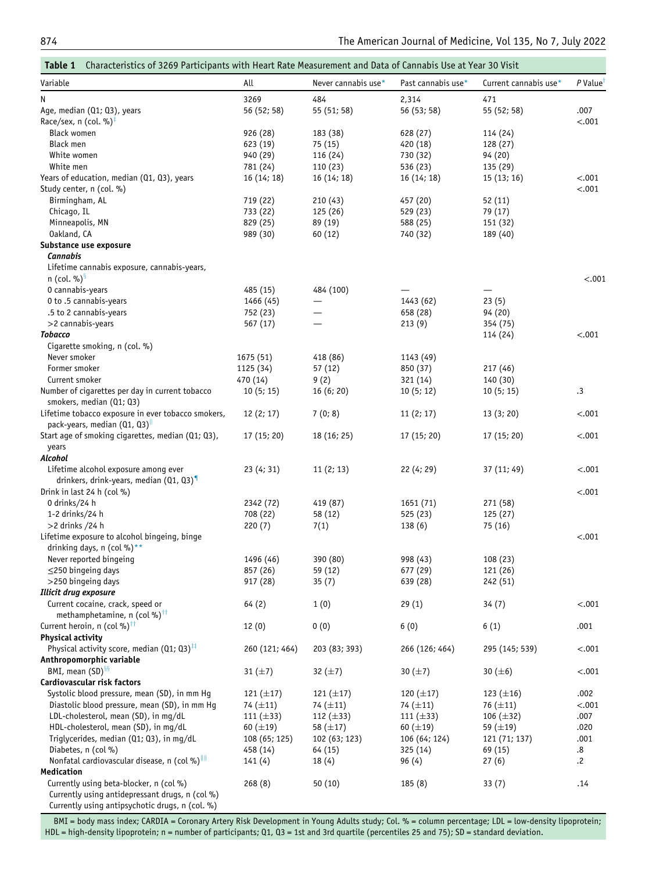<span id="page-3-0"></span>

| Variable                                                                                               | All            | Never cannabis use* | Past cannabis use* | Current cannabis use* | P Value <sup>1</sup> |
|--------------------------------------------------------------------------------------------------------|----------------|---------------------|--------------------|-----------------------|----------------------|
| N                                                                                                      | 3269           | 484                 | 2,314              | 471                   |                      |
| Age, median (Q1; Q3), years                                                                            | 56 (52; 58)    | 55 (51; 58)         | 56 (53; 58)        | 55 (52; 58)           | .007                 |
| Race/sex, n (col. %) <sup>‡</sup>                                                                      |                |                     |                    |                       | $-.001$              |
| <b>Black women</b>                                                                                     | 926 (28)       | 183 (38)            | 628 (27)           | 114 (24)              |                      |
| Black men                                                                                              | 623 (19)       | 75 (15)             | 420 (18)           | 128 (27)              |                      |
| White women                                                                                            | 940 (29)       | 116 (24)            | 730 (32)           | 94 (20)               |                      |
| White men                                                                                              | 781 (24)       | 110 (23)            | 536 (23)           | 135 (29)              |                      |
| Years of education, median (Q1, Q3), years                                                             | 16(14; 18)     | 16(14; 18)          | 16(14; 18)         | 15(13;16)             | $-.001$              |
| Study center, n (col. %)                                                                               |                |                     |                    |                       | $-.001$              |
| Birmingham, AL                                                                                         | 719 (22)       | 210(43)             | 457 (20)           | 52 (11)               |                      |
| Chicago, IL                                                                                            | 733 (22)       | 125 (26)            | 529 (23)           | 79 (17)               |                      |
| Minneapolis, MN                                                                                        | 829 (25)       | 89 (19)             | 588 (25)           | 151 (32)              |                      |
| Oakland, CA                                                                                            | 989 (30)       | 60 (12)             | 740 (32)           | 189 (40)              |                      |
| Substance use exposure                                                                                 |                |                     |                    |                       |                      |
| <b>Cannabis</b>                                                                                        |                |                     |                    |                       |                      |
| Lifetime cannabis exposure, cannabis-years,<br>$n$ (col. %) <sup>3</sup>                               |                |                     |                    |                       | < .001               |
| 0 cannabis-years                                                                                       | 485 (15)       | 484 (100)           |                    |                       |                      |
| 0 to .5 cannabis-years                                                                                 | 1466 (45)      |                     | 1443 (62)          | 23(5)                 |                      |
| .5 to 2 cannabis-years                                                                                 | 752 (23)       |                     | 658 (28)           | 94 (20)               |                      |
| >2 cannabis-years                                                                                      | 567 (17)       |                     | 213(9)             | 354 (75)              |                      |
| <b>Tobacco</b>                                                                                         |                |                     |                    | 114 (24)              | $-.001$              |
| Cigarette smoking, n (col. %)                                                                          |                |                     |                    |                       |                      |
| Never smoker                                                                                           | 1675 (51)      | 418 (86)            | 1143 (49)          |                       |                      |
| Former smoker                                                                                          | 1125 (34)      | 57(12)              | 850 (37)           | 217 (46)              |                      |
| Current smoker                                                                                         | 470 (14)       | 9(2)                | 321 (14)           | 140 (30)              |                      |
| Number of cigarettes per day in current tobacco<br>smokers, median (Q1; Q3)                            | 10(5; 15)      | 16(6; 20)           | 10(5; 12)          | 10(5; 15)             | .3                   |
| Lifetime tobacco exposure in ever tobacco smokers,                                                     | 12(2; 17)      | 7(0; 8)             | 11(2; 17)          | 13(3; 20)             | $-.001$              |
| pack-years, median (Q1, Q3) <sup>II</sup>                                                              |                |                     |                    |                       |                      |
| Start age of smoking cigarettes, median (Q1; Q3),                                                      | 17 (15; 20)    | 18 (16; 25)         | 17 (15; 20)        | 17 (15; 20)           | $-.001$              |
| years                                                                                                  |                |                     |                    |                       |                      |
| Alcohol                                                                                                |                |                     |                    |                       |                      |
| Lifetime alcohol exposure among ever                                                                   | 23(4;31)       | 11(2; 13)           | 22 (4; 29)         | 37 (11; 49)           | $-.001$              |
| drinkers, drink-years, median $(Q1, Q3)^T$                                                             |                |                     |                    |                       |                      |
| Drink in last 24 h (col $\%$ )                                                                         |                |                     |                    |                       | $-.001$              |
| 0 drinks/24 h                                                                                          | 2342 (72)      | 419 (87)            | 1651 (71)          | 271 (58)              |                      |
| 1-2 drinks/24 h                                                                                        | 708 (22)       | 58 (12)             | 525 (23)           | 125(27)               |                      |
| $>2$ drinks /24 h                                                                                      | 220 (7)        | 7(1)                | 138(6)             | 75 (16)               |                      |
| Lifetime exposure to alcohol bingeing, binge                                                           |                |                     |                    |                       | $-.001$              |
| drinking days, n (col %)**                                                                             |                |                     |                    |                       |                      |
| Never reported bingeing                                                                                | 1496 (46)      | 390 (80)            | 998 (43)           | 108 (23)              |                      |
| $\leq$ 250 bingeing days                                                                               | 857 (26)       | 59 (12)             | 677 (29)           | 121 (26)              |                      |
| >250 bingeing days                                                                                     | 917 (28)       | 35(7)               | 639 (28)           | 242 (51)              |                      |
| Illicit drug exposure                                                                                  |                |                     |                    |                       |                      |
| Current cocaine, crack, speed or                                                                       | 64(2)          | 1(0)                | 29(1)              | 34(7)                 | $-.001$              |
| methamphetamine, n (col %) <sup>††</sup><br>Current heroin, n (col %) <sup>††</sup>                    |                |                     |                    |                       |                      |
|                                                                                                        | 12(0)          | 0(0)                | 6(0)               | 6(1)                  | .001                 |
| <b>Physical activity</b><br>Physical activity score, median (Q1; Q3) <sup><math>\text{II}</math></sup> |                |                     |                    |                       |                      |
| Anthropomorphic variable                                                                               | 260 (121; 464) | 203 (83; 393)       | 266 (126; 464)     | 295 (145; 539)        | $-.001$              |
| BMI, mean (SD) <sup>§§</sup>                                                                           |                |                     |                    |                       | $-.001$              |
| Cardiovascular risk factors                                                                            | 31 $(\pm 7)$   | 32 $(\pm 7)$        | 30 $(\pm 7)$       | 30 $(\pm 6)$          |                      |
| Systolic blood pressure, mean (SD), in mm Hg                                                           | 121 $(\pm 17)$ | 121 $(\pm 17)$      | 120 $(\pm 17)$     | 123 $(\pm 16)$        | .002                 |
| Diastolic blood pressure, mean (SD), in mm Hq                                                          | 74 $(\pm 11)$  | 74 $(\pm 11)$       | 74 $(\pm 11)$      | 76 $(\pm 11)$         | $-.001$              |
| LDL-cholesterol, mean (SD), in mg/dL                                                                   | 111 $(\pm 33)$ | 112 $(\pm 33)$      | 111 $(\pm 33)$     | 106 $(\pm 32)$        | .007                 |
| HDL-cholesterol, mean (SD), in mg/dL                                                                   | $60 (\pm 19)$  | 58 $(\pm 17)$       | $60 (\pm 19)$      | 59 $(\pm 19)$         | .020                 |
| Triglycerides, median (Q1; Q3), in mg/dL                                                               | 108 (65; 125)  | 102 (63; 123)       | 106 (64; 124)      | 121 (71; 137)         | .001                 |
| Diabetes, n (col %)                                                                                    | 458 (14)       | 64 (15)             | 325 (14)           | 69 (15)               | .8                   |
| Nonfatal cardiovascular disease, n (col %) <sup>III</sup>                                              | 141(4)         | 18(4)               | 96(4)              | 27(6)                 | $\cdot$              |
| <b>Medication</b>                                                                                      |                |                     |                    |                       |                      |
| Currently using beta-blocker, n (col %)                                                                | 268(8)         | 50(10)              | 185(8)             | 33(7)                 | .14                  |
| Currently using antidepressant drugs, n (col %)                                                        |                |                     |                    |                       |                      |
| Currently using antipsychotic drugs, n (col. %)                                                        |                |                     |                    |                       |                      |

BMI = body mass index; CARDIA = Coronary Artery Risk Development in Young Adults study; Col. % = column percentage; LDL = low-density lipoprotein; HDL = high-density lipoprotein; n = number of participants; Q1, Q3 = 1st and 3rd quartile (percentiles 25 and 75); SD = standard deviation.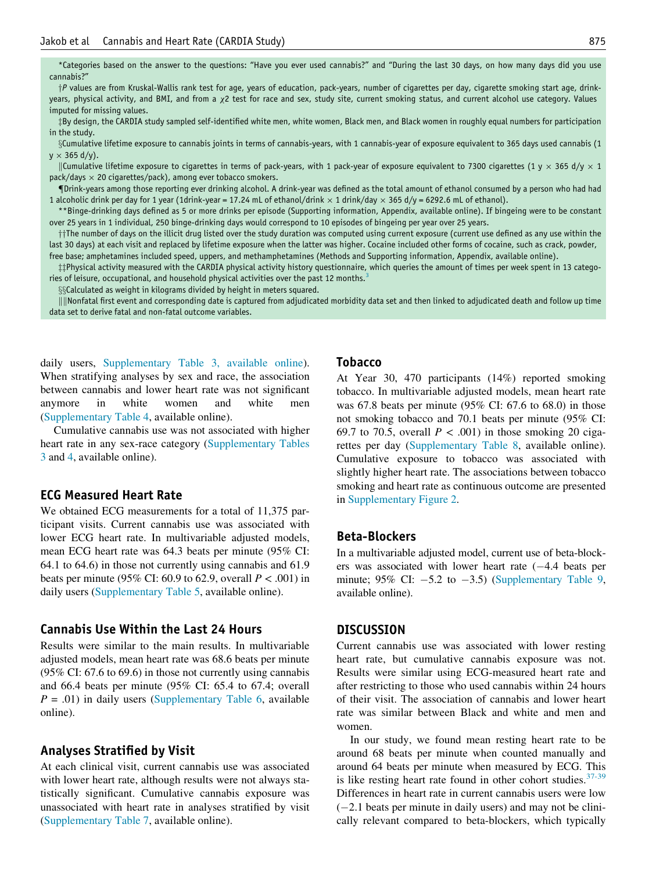<span id="page-4-1"></span><span id="page-4-0"></span>\*Categories based on the answer to the questions: "Have you ever used cannabis?" and "During the last 30 days, on how many days did you use cannabis?"

<sup>y</sup><sup>P</sup> values are from Kruskal-Wallis rank test for age, years of education, pack-years, number of cigarettes per day, cigarette smoking start age, drinkyears, physical activity, and BMI, and from a x2 test for race and sex, study site, current smoking status, and current alcohol use category. Values imputed for missing values.

<span id="page-4-2"></span>zBy design, the CARDIA study sampled self-identified white men, white women, Black men, and Black women in roughly equal numbers for participation in the study.

<span id="page-4-4"></span><span id="page-4-3"></span>xCumulative lifetime exposure to cannabis joints in terms of cannabis-years, with 1 cannabis-year of exposure equivalent to 365 days used cannabis (1  $y \times 365$  d/y).

<span id="page-4-5"></span>||Cumulative lifetime exposure to cigarettes in terms of pack-years, with 1 pack-year of exposure equivalent to 7300 cigarettes (1 y  $\times$  365 d/y  $\times$  1  $pack/day \times 20$  cigarettes/pack), among ever tobacco smokers.

<span id="page-4-6"></span>{Drink-years among those reporting ever drinking alcohol. A drink-year was defined as the total amount of ethanol consumed by a person who had had 1 alcoholic drink per day for 1 year (1drink-year = 17.24 mL of ethanol/drink  $\times$  1 drink/day  $\times$  365 d/y = 6292.6 mL of ethanol).

<span id="page-4-7"></span>\*\*Binge-drinking days defined as 5 or more drinks per episode (Supporting information, Appendix, available online). If bingeing were to be constant over 25 years in 1 individual, 250 binge-drinking days would correspond to 10 episodes of bingeing per year over 25 years.

 $\dagger\dagger$ The number of days on the illicit drug listed over the study duration was computed using current exposure (current use defined as any use within the last 30 days) at each visit and replaced by lifetime exposure when the latter was higher. Cocaine included other forms of cocaine, such as crack, powder, free base; amphetamines included speed, uppers, and methamphetamines (Methods and Supporting information, Appendix, available online).

<span id="page-4-9"></span><span id="page-4-8"></span> $\ddagger$  Physical activity measured with the CARDIA physical activity history questionnaire, which queries the amount of times per week spent in 13 catego-ries of leisure, occupational, and household physical activities over the past 12 months.<sup>[3](#page-6-2)</sup>

§§Calculated as weight in kilograms divided by height in meters squared.

<span id="page-4-10"></span>||||Nonfatal first event and corresponding date is captured from adjudicated morbidity data set and then linked to adjudicated death and follow up time data set to derive fatal and non-fatal outcome variables.

daily users, [Supplementary Table 3, available online](#page-15-0)). When stratifying analyses by sex and race, the association between cannabis and lower heart rate was not significant anymore in white women and white men [\(Supplementary Table 4](#page-16-0), available online).

Cumulative cannabis use was not associated with higher heart rate in any sex-race category [\(Supplementary Tables](#page-15-0) [3](#page-15-0) and [4](#page-16-0), available online).

## ECG Measured Heart Rate

We obtained ECG measurements for a total of 11,375 participant visits. Current cannabis use was associated with lower ECG heart rate. In multivariable adjusted models, mean ECG heart rate was 64.3 beats per minute (95% CI: 64.1 to 64.6) in those not currently using cannabis and 61.9 beats per minute (95% CI: 60.9 to 62.9, overall  $P < .001$ ) in daily users [\(Supplementary Table 5,](#page-17-0) available online).

## Cannabis Use Within the Last 24 Hours

Results were similar to the main results. In multivariable adjusted models, mean heart rate was 68.6 beats per minute (95% CI: 67.6 to 69.6) in those not currently using cannabis and 66.4 beats per minute (95% CI: 65.4 to 67.4; overall  $P = .01$ ) in daily users ([Supplementary Table 6,](#page-17-1) available online).

#### Analyses Stratified by Visit

At each clinical visit, current cannabis use was associated with lower heart rate, although results were not always statistically significant. Cumulative cannabis exposure was unassociated with heart rate in analyses stratified by visit [\(Supplementary Table 7](#page-18-0), available online).

## Tobacco

At Year 30, 470 participants (14%) reported smoking tobacco. In multivariable adjusted models, mean heart rate was 67.8 beats per minute (95% CI: 67.6 to 68.0) in those not smoking tobacco and 70.1 beats per minute (95% CI: 69.7 to 70.5, overall  $P < .001$ ) in those smoking 20 cigarettes per day ([Supplementary Table 8](#page-19-0), available online). Cumulative exposure to tobacco was associated with slightly higher heart rate. The associations between tobacco smoking and heart rate as continuous outcome are presented in [Supplementary Figure 2](#page-21-0).

#### Beta-Blockers

In a multivariable adjusted model, current use of beta-blockers was associated with lower heart rate  $(-4.4$  beats per minute; 95% CI:  $-5.2$  to  $-3.5$ ) [\(Supplementary Table 9](#page-19-1), available online).

#### **DISCUSSION**

Current cannabis use was associated with lower resting heart rate, but cumulative cannabis exposure was not. Results were similar using ECG-measured heart rate and after restricting to those who used cannabis within 24 hours of their visit. The association of cannabis and lower heart rate was similar between Black and white and men and women.

In our study, we found mean resting heart rate to be around 68 beats per minute when counted manually and around 64 beats per minute when measured by ECG. This is like resting heart rate found in other cohort studies. $37-39$ Differences in heart rate in current cannabis users were low  $(-2.1$  beats per minute in daily users) and may not be clinically relevant compared to beta-blockers, which typically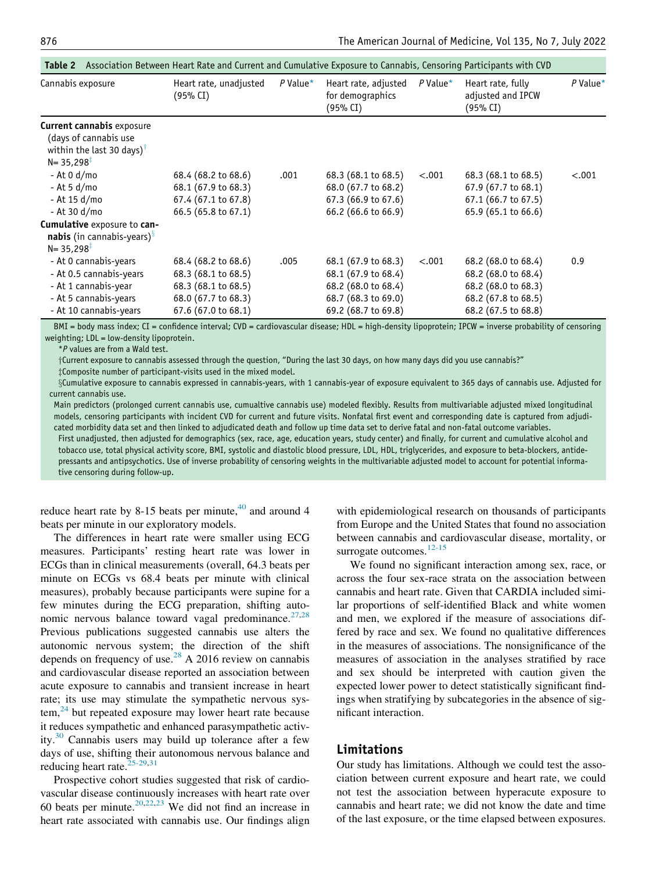<span id="page-5-0"></span>

| Cannabis exposure                                                                                                             | Heart rate, unadjusted<br>(95% CI)                                                                              | $P$ Value* | Heart rate, adjusted<br>for demographics<br>$(95\% \text{ CI})$                                                 | $P$ Value* | Heart rate, fully<br>adjusted and IPCW<br>$(95\% \text{ CI})$                                                   | $P$ Value* |
|-------------------------------------------------------------------------------------------------------------------------------|-----------------------------------------------------------------------------------------------------------------|------------|-----------------------------------------------------------------------------------------------------------------|------------|-----------------------------------------------------------------------------------------------------------------|------------|
| <b>Current cannabis exposure</b><br>(days of cannabis use<br>within the last 30 days) <sup>†</sup><br>$N = 35,298^{\ddagger}$ |                                                                                                                 |            |                                                                                                                 |            |                                                                                                                 |            |
| - At 0 d/mo<br>- At 5 d/mo<br>- At 15 d/mo<br>- At 30 d/mo                                                                    | 68.4 (68.2 to 68.6)<br>68.1 (67.9 to 68.3)<br>67.4 (67.1 to 67.8)<br>66.5 (65.8 to 67.1)                        | .001       | $68.3(68.1 \text{ to } 68.5)$<br>68.0 (67.7 to 68.2)<br>$67.3(66.9 \text{ to } 67.6)$<br>66.2 (66.6 to 66.9)    | < .001     | 68.3 (68.1 to 68.5)<br>67.9 (67.7 to 68.1)<br>67.1 (66.7 to 67.5)<br>65.9 (65.1 to 66.6)                        | < .001     |
| Cumulative exposure to can-<br><b>nabis</b> (in cannabis-years) <sup>§</sup><br>$N = 35,298$ <sup>T</sup>                     |                                                                                                                 |            |                                                                                                                 |            |                                                                                                                 |            |
| - At 0 cannabis-years<br>- At 0.5 cannabis-years<br>- At 1 cannabis-year<br>- At 5 cannabis-years<br>- At 10 cannabis-years   | 68.4 (68.2 to 68.6)<br>68.3 (68.1 to 68.5)<br>68.3 (68.1 to 68.5)<br>68.0 (67.7 to 68.3)<br>67.6 (67.0 to 68.1) | .005       | 68.1 (67.9 to 68.3)<br>68.1 (67.9 to 68.4)<br>68.2 (68.0 to 68.4)<br>68.7 (68.3 to 69.0)<br>69.2 (68.7 to 69.8) | < .001     | 68.2 (68.0 to 68.4)<br>68.2 (68.0 to 68.4)<br>68.2 (68.0 to 68.3)<br>68.2 (67.8 to 68.5)<br>68.2 (67.5 to 68.8) | 0.9        |

Table 2 Association Between Heart Rate and Current and Cumulative Exposure to Cannabis, Censoring Participants with CVD

<span id="page-5-1"></span>BMI = body mass index; CI = confidence interval; CVD = cardiovascular disease; HDL = high-density lipoprotein; IPCW = inverse probability of censoring weighting; LDL = low-density lipoprotein.

\*P values are from a Wald test.

yCurrent exposure to cannabis assessed through the question, "During the last 30 days, on how many days did you use cannabis?"

zComposite number of participant-visits used in the mixed model.

<span id="page-5-3"></span><span id="page-5-2"></span>§Cumulative exposure to cannabis expressed in cannabis-years, with 1 cannabis-year of exposure equivalent to 365 days of cannabis use. Adjusted for current cannabis use.

Main predictors (prolonged current cannabis use, cumualtive cannabis use) modeled flexibly. Results from multivariable adjusted mixed longitudinal models, censoring participants with incident CVD for current and future visits. Nonfatal first event and corresponding date is captured from adjudicated morbidity data set and then linked to adjudicated death and follow up time data set to derive fatal and non-fatal outcome variables.

First unadjusted, then adjusted for demographics (sex, race, age, education years, study center) and finally, for current and cumulative alcohol and tobacco use, total physical activity score, BMI, systolic and diastolic blood pressure, LDL, HDL, triglycerides, and exposure to beta-blockers, antidepressants and antipsychotics. Use of inverse probability of censoring weights in the multivariable adjusted model to account for potential informative censoring during follow-up.

reduce heart rate by 8-15 beats per minute, $40$  and around 4 beats per minute in our exploratory models.

The differences in heart rate were smaller using ECG measures. Participants' resting heart rate was lower in ECGs than in clinical measurements (overall, 64.3 beats per minute on ECGs vs 68.4 beats per minute with clinical measures), probably because participants were supine for a few minutes during the ECG preparation, shifting autonomic nervous balance toward vagal predominance. $27,28$  $27,28$ Previous publications suggested cannabis use alters the autonomic nervous system; the direction of the shift depends on frequency of use.<sup>[28](#page-7-18)</sup> A 2016 review on cannabis and cardiovascular disease reported an association between acute exposure to cannabis and transient increase in heart rate; its use may stimulate the sympathetic nervous sys $tem<sup>24</sup>$  but repeated exposure may lower heart rate because it reduces sympathetic and enhanced parasympathetic activ-ity.<sup>[30](#page-7-19)</sup> Cannabis users may build up tolerance after a few days of use, shifting their autonomous nervous balance and reducing heart rate. $25-29,31$  $25-29,31$ 

Prospective cohort studies suggested that risk of cardiovascular disease continuously increases with heart rate over 60 beats per minute. $20,22,23$  $20,22,23$  $20,22,23$  We did not find an increase in heart rate associated with cannabis use. Our findings align

with epidemiological research on thousands of participants from Europe and the United States that found no association between cannabis and cardiovascular disease, mortality, or surrogate outcomes.<sup>[12-15](#page-7-1)</sup>

We found no significant interaction among sex, race, or across the four sex-race strata on the association between cannabis and heart rate. Given that CARDIA included similar proportions of self-identified Black and white women and men, we explored if the measure of associations differed by race and sex. We found no qualitative differences in the measures of associations. The nonsignificance of the measures of association in the analyses stratified by race and sex should be interpreted with caution given the expected lower power to detect statistically significant findings when stratifying by subcategories in the absence of significant interaction.

# Limitations

Our study has limitations. Although we could test the association between current exposure and heart rate, we could not test the association between hyperacute exposure to cannabis and heart rate; we did not know the date and time of the last exposure, or the time elapsed between exposures.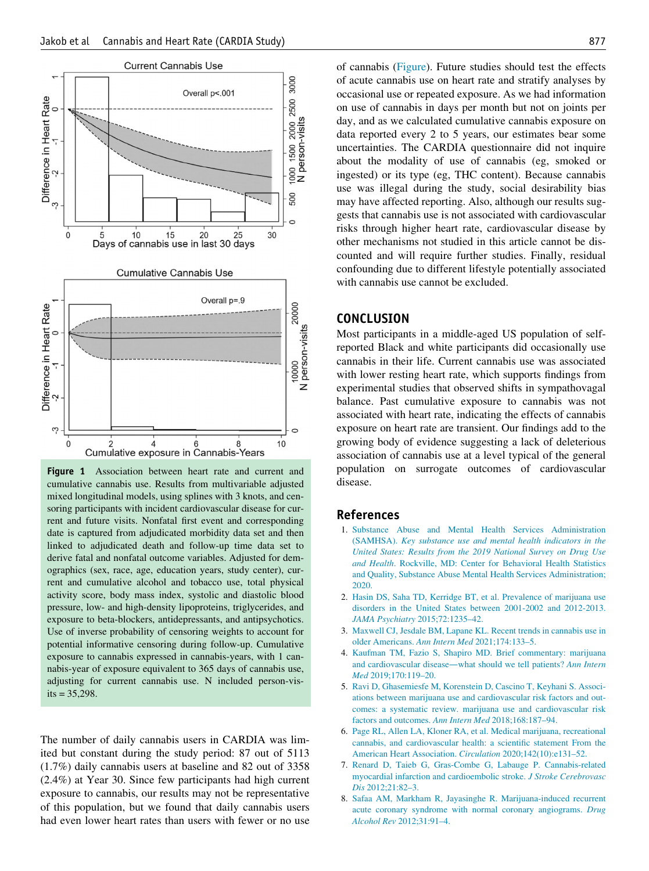<span id="page-6-7"></span>

<span id="page-6-1"></span><span id="page-6-0"></span>Figure 1 Association between heart rate and current and cumulative cannabis use. Results from multivariable adjusted mixed longitudinal models, using splines with 3 knots, and censoring participants with incident cardiovascular disease for current and future visits. Nonfatal first event and corresponding date is captured from adjudicated morbidity data set and then linked to adjudicated death and follow-up time data set to derive fatal and nonfatal outcome variables. Adjusted for demographics (sex, race, age, education years, study center), current and cumulative alcohol and tobacco use, total physical activity score, body mass index, systolic and diastolic blood pressure, low- and high-density lipoproteins, triglycerides, and exposure to beta-blockers, antidepressants, and antipsychotics. Use of inverse probability of censoring weights to account for potential informative censoring during follow-up. Cumulative exposure to cannabis expressed in cannabis-years, with 1 cannabis-year of exposure equivalent to 365 days of cannabis use, adjusting for current cannabis use. N included person-vis $its = 35,298.$ 

<span id="page-6-6"></span><span id="page-6-5"></span><span id="page-6-4"></span><span id="page-6-3"></span><span id="page-6-2"></span>The number of daily cannabis users in CARDIA was limited but constant during the study period: 87 out of 5113 (1.7%) daily cannabis users at baseline and 82 out of 3358 (2.4%) at Year 30. Since few participants had high current exposure to cannabis, our results may not be representative of this population, but we found that daily cannabis users had even lower heart rates than users with fewer or no use of cannabis [\(Figure](#page-6-7)). Future studies should test the effects of acute cannabis use on heart rate and stratify analyses by occasional use or repeated exposure. As we had information on use of cannabis in days per month but not on joints per day, and as we calculated cumulative cannabis exposure on data reported every 2 to 5 years, our estimates bear some uncertainties. The CARDIA questionnaire did not inquire about the modality of use of cannabis (eg, smoked or ingested) or its type (eg, THC content). Because cannabis use was illegal during the study, social desirability bias may have affected reporting. Also, although our results suggests that cannabis use is not associated with cardiovascular risks through higher heart rate, cardiovascular disease by other mechanisms not studied in this article cannot be discounted and will require further studies. Finally, residual confounding due to different lifestyle potentially associated with cannabis use cannot be excluded.

#### **CONCLUSION**

Most participants in a middle-aged US population of selfreported Black and white participants did occasionally use cannabis in their life. Current cannabis use was associated with lower resting heart rate, which supports findings from experimental studies that observed shifts in sympathovagal balance. Past cumulative exposure to cannabis was not associated with heart rate, indicating the effects of cannabis exposure on heart rate are transient. Our findings add to the growing body of evidence suggesting a lack of deleterious association of cannabis use at a level typical of the general population on surrogate outcomes of cardiovascular disease.

#### References

- 1. [Substance Abuse and Mental Health Services Administration](http://refhub.elsevier.com/S0002-9343(22)00132-2/sbref0001) (SAMHSA). [Key substance use and mental health indicators in the](http://refhub.elsevier.com/S0002-9343(22)00132-2/sbref0001) [United States: Results from the 2019 National Survey on Drug Use](http://refhub.elsevier.com/S0002-9343(22)00132-2/sbref0001) and Health[. Rockville, MD: Center for Behavioral Health Statistics](http://refhub.elsevier.com/S0002-9343(22)00132-2/sbref0001) [and Quality, Substance Abuse Mental Health Services Administration;](http://refhub.elsevier.com/S0002-9343(22)00132-2/sbref0001) [2020.](http://refhub.elsevier.com/S0002-9343(22)00132-2/sbref0001)
- 2. [Hasin DS, Saha TD, Kerridge BT, et al. Prevalence of marijuana use](http://refhub.elsevier.com/S0002-9343(22)00132-2/sbref0002) [disorders in the United States between 2001-2002 and 2012-2013.](http://refhub.elsevier.com/S0002-9343(22)00132-2/sbref0002) JAMA Psychiatry [2015;72:1235–42.](http://refhub.elsevier.com/S0002-9343(22)00132-2/sbref0002)
- 3. [Maxwell CJ, Jesdale BM, Lapane KL. Recent trends in cannabis use in](http://refhub.elsevier.com/S0002-9343(22)00132-2/sbref0003) [older Americans.](http://refhub.elsevier.com/S0002-9343(22)00132-2/sbref0003) Ann Intern Med 2021;174:133–5.
- 4. [Kaufman TM, Fazio S, Shapiro MD. Brief commentary: marijuana](http://refhub.elsevier.com/S0002-9343(22)00132-2/sbref0004) and cardiovascular disease—[what should we tell patients?](http://refhub.elsevier.com/S0002-9343(22)00132-2/sbref0004) Ann Intern Med [2019;170:119–20.](http://refhub.elsevier.com/S0002-9343(22)00132-2/sbref0004)
- 5. [Ravi D, Ghasemiesfe M, Korenstein D, Cascino T, Keyhani S. Associ](http://refhub.elsevier.com/S0002-9343(22)00132-2/sbref0005)[ations between marijuana use and cardiovascular risk factors and out](http://refhub.elsevier.com/S0002-9343(22)00132-2/sbref0005)[comes: a systematic review. marijuana use and cardiovascular risk](http://refhub.elsevier.com/S0002-9343(22)00132-2/sbref0005) [factors and outcomes.](http://refhub.elsevier.com/S0002-9343(22)00132-2/sbref0005) Ann Intern Med 2018;168:187–94.
- 6. [Page RL, Allen LA, Kloner RA, et al. Medical marijuana, recreational](http://refhub.elsevier.com/S0002-9343(22)00132-2/sbref0006) [cannabis, and cardiovascular health: a scientific statement From the](http://refhub.elsevier.com/S0002-9343(22)00132-2/sbref0006) [American Heart Association.](http://refhub.elsevier.com/S0002-9343(22)00132-2/sbref0006) Circulation 2020;142(10):e131–52.
- 7. [Renard D, Taieb G, Gras-Combe G, Labauge P. Cannabis-related](http://refhub.elsevier.com/S0002-9343(22)00132-2/sbref0007) [myocardial infarction and cardioembolic stroke.](http://refhub.elsevier.com/S0002-9343(22)00132-2/sbref0007) J Stroke Cerebrovasc Dis [2012;21:82–3.](http://refhub.elsevier.com/S0002-9343(22)00132-2/sbref0007)
- 8. [Safaa AM, Markham R, Jayasinghe R. Marijuana-induced recurrent](http://refhub.elsevier.com/S0002-9343(22)00132-2/sbref0008) [acute coronary syndrome with normal coronary angiograms.](http://refhub.elsevier.com/S0002-9343(22)00132-2/sbref0008) Drug Alcohol Rev [2012;31:91–4.](http://refhub.elsevier.com/S0002-9343(22)00132-2/sbref0008)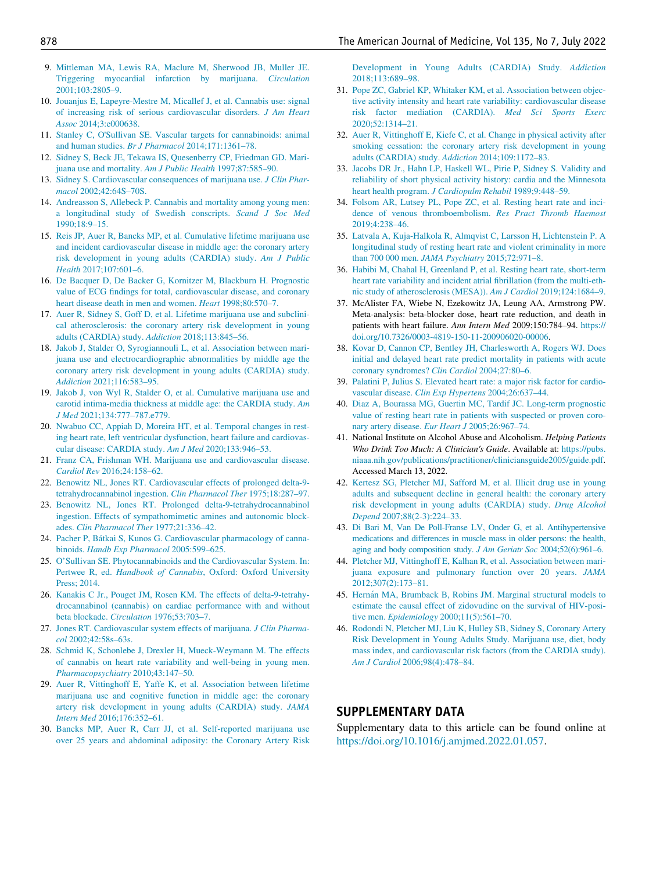- 9. [Mittleman MA, Lewis RA, Maclure M, Sherwood JB, Muller JE.](http://refhub.elsevier.com/S0002-9343(22)00132-2/sbref0009) [Triggering myocardial infarction by marijuana.](http://refhub.elsevier.com/S0002-9343(22)00132-2/sbref0009) Circulation [2001;103:2805–9.](http://refhub.elsevier.com/S0002-9343(22)00132-2/sbref0009)
- <span id="page-7-20"></span>10. [Jouanjus E, Lapeyre-Mestre M, Micallef J, et al. Cannabis use: signal](http://refhub.elsevier.com/S0002-9343(22)00132-2/sbref0010) [of increasing risk of serious cardiovascular disorders.](http://refhub.elsevier.com/S0002-9343(22)00132-2/sbref0010) J Am Heart Assoc [2014;3:e000638.](http://refhub.elsevier.com/S0002-9343(22)00132-2/sbref0010)
- <span id="page-7-10"></span><span id="page-7-0"></span>11. Stanley C, O'[Sullivan SE. Vascular targets for cannabinoids: animal](http://refhub.elsevier.com/S0002-9343(22)00132-2/sbref0011) and human studies. Br J Pharmacol [2014;171:1361–78.](http://refhub.elsevier.com/S0002-9343(22)00132-2/sbref0011)
- <span id="page-7-11"></span><span id="page-7-1"></span>12. [Sidney S, Beck JE, Tekawa IS, Quesenberry CP, Friedman GD. Mari](http://refhub.elsevier.com/S0002-9343(22)00132-2/sbref0012)[juana use and mortality.](http://refhub.elsevier.com/S0002-9343(22)00132-2/sbref0012) Am J Public Health 1997;87:585–90.
- 13. [Sidney S. Cardiovascular consequences of marijuana use.](http://refhub.elsevier.com/S0002-9343(22)00132-2/sbref0013) J Clin Pharmacol [2002;42:64S–70S.](http://refhub.elsevier.com/S0002-9343(22)00132-2/sbref0013)
- <span id="page-7-12"></span>14. [Andreasson S, Allebeck P. Cannabis and mortality among young men:](http://refhub.elsevier.com/S0002-9343(22)00132-2/sbref0014) [a longitudinal study of Swedish conscripts.](http://refhub.elsevier.com/S0002-9343(22)00132-2/sbref0014) Scand J Soc Med [1990;18:9–15.](http://refhub.elsevier.com/S0002-9343(22)00132-2/sbref0014)
- <span id="page-7-13"></span><span id="page-7-9"></span>15. [Reis JP, Auer R, Bancks MP, et al. Cumulative lifetime marijuana use](http://refhub.elsevier.com/S0002-9343(22)00132-2/sbref0015) [and incident cardiovascular disease in middle age: the coronary artery](http://refhub.elsevier.com/S0002-9343(22)00132-2/sbref0015) [risk development in young adults \(CARDIA\) study.](http://refhub.elsevier.com/S0002-9343(22)00132-2/sbref0015) Am J Public Health [2017;107:601–6.](http://refhub.elsevier.com/S0002-9343(22)00132-2/sbref0015)
- <span id="page-7-14"></span>16. [De Bacquer D, De Backer G, Kornitzer M, Blackburn H. Prognostic](http://refhub.elsevier.com/S0002-9343(22)00132-2/sbref0016) [value of ECG findings for total, cardiovascular disease, and coronary](http://refhub.elsevier.com/S0002-9343(22)00132-2/sbref0016) [heart disease death in men and women.](http://refhub.elsevier.com/S0002-9343(22)00132-2/sbref0016) Heart 1998;80:570-7.
- <span id="page-7-15"></span><span id="page-7-2"></span>17. [Auer R, Sidney S, Goff D, et al. Lifetime marijuana use and subclini](http://refhub.elsevier.com/S0002-9343(22)00132-2/sbref0017)[cal atherosclerosis: the coronary artery risk development in young](http://refhub.elsevier.com/S0002-9343(22)00132-2/sbref0017) [adults \(CARDIA\) study.](http://refhub.elsevier.com/S0002-9343(22)00132-2/sbref0017) Addiction 2018;113:845–56.
- 18. [Jakob J, Stalder O, Syrogiannouli L, et al. Association between mari](http://refhub.elsevier.com/S0002-9343(22)00132-2/sbref0018)[juana use and electrocardiographic abnormalities by middle age the](http://refhub.elsevier.com/S0002-9343(22)00132-2/sbref0018) [coronary artery risk development in young adults \(CARDIA\) study.](http://refhub.elsevier.com/S0002-9343(22)00132-2/sbref0018) Addiction [2021;116:583–95.](http://refhub.elsevier.com/S0002-9343(22)00132-2/sbref0018)
- <span id="page-7-16"></span>19. [Jakob J, von Wyl R, Stalder O, et al. Cumulative marijuana use and](http://refhub.elsevier.com/S0002-9343(22)00132-2/sbref0019) [carotid intima-media thickness at middle age: the CARDIA study.](http://refhub.elsevier.com/S0002-9343(22)00132-2/sbref0019) Am J Med [2021;134:777–787.e779.](http://refhub.elsevier.com/S0002-9343(22)00132-2/sbref0019)
- <span id="page-7-21"></span><span id="page-7-3"></span>20. [Nwabuo CC, Appiah D, Moreira HT, et al. Temporal changes in rest](http://refhub.elsevier.com/S0002-9343(22)00132-2/sbref0020)[ing heart rate, left ventricular dysfunction, heart failure and cardiovas](http://refhub.elsevier.com/S0002-9343(22)00132-2/sbref0020)[cular disease: CARDIA study.](http://refhub.elsevier.com/S0002-9343(22)00132-2/sbref0020) Am J Med 2020;133:946–53.
- <span id="page-7-4"></span>21. [Franz CA, Frishman WH. Marijuana use and cardiovascular disease.](http://refhub.elsevier.com/S0002-9343(22)00132-2/sbref0021) Cardiol Rev [2016;24:158–62.](http://refhub.elsevier.com/S0002-9343(22)00132-2/sbref0021)
- <span id="page-7-22"></span><span id="page-7-5"></span>22. [Benowitz NL, Jones RT. Cardiovascular effects of prolonged delta-9](http://refhub.elsevier.com/S0002-9343(22)00132-2/sbref0022) [tetrahydrocannabinol ingestion.](http://refhub.elsevier.com/S0002-9343(22)00132-2/sbref0022) Clin Pharmacol Ther 1975;18:287–97.
- <span id="page-7-6"></span>23. [Benowitz NL, Jones RT. Prolonged delta-9-tetrahydrocannabinol](http://refhub.elsevier.com/S0002-9343(22)00132-2/sbref0023) [ingestion. Effects of sympathomimetic amines and autonomic block](http://refhub.elsevier.com/S0002-9343(22)00132-2/sbref0023)ades. [Clin Pharmacol Ther](http://refhub.elsevier.com/S0002-9343(22)00132-2/sbref0023) 1977;21:336–42.
- <span id="page-7-23"></span><span id="page-7-7"></span>24. [Pacher P, B](http://refhub.elsevier.com/S0002-9343(22)00132-2/sbref0024)átkai S, Kunos G. Cardiovascular pharmacology of cannabinoids. [Handb Exp Pharmacol](http://refhub.elsevier.com/S0002-9343(22)00132-2/sbref0024) 2005:599–625.
- <span id="page-7-24"></span><span id="page-7-8"></span>25. [O'Sullivan SE. Phytocannabinoids and the Cardiovascular System. In:](http://refhub.elsevier.com/S0002-9343(22)00132-2/sbref0025) Pertwee R, ed. Handbook of Cannabis[, Oxford: Oxford University](http://refhub.elsevier.com/S0002-9343(22)00132-2/sbref0025) [Press; 2014.](http://refhub.elsevier.com/S0002-9343(22)00132-2/sbref0025)
- <span id="page-7-25"></span>26. [Kanakis C Jr., Pouget JM, Rosen KM. The effects of delta-9-tetrahy](http://refhub.elsevier.com/S0002-9343(22)00132-2/sbref0026)[drocannabinol \(cannabis\) on cardiac performance with and without](http://refhub.elsevier.com/S0002-9343(22)00132-2/sbref0026) beta blockade. Circulation [1976;53:703–7.](http://refhub.elsevier.com/S0002-9343(22)00132-2/sbref0026)
- <span id="page-7-26"></span><span id="page-7-17"></span>27. [Jones RT. Cardiovascular system effects of marijuana.](http://refhub.elsevier.com/S0002-9343(22)00132-2/sbref0027) J Clin Pharmacol [2002;42:58s–63s.](http://refhub.elsevier.com/S0002-9343(22)00132-2/sbref0027)
- <span id="page-7-18"></span>28. [Schmid K, Schonlebe J, Drexler H, Mueck-Weymann M. The effects](http://refhub.elsevier.com/S0002-9343(22)00132-2/sbref0028) [of cannabis on heart rate variability and well-being in young men.](http://refhub.elsevier.com/S0002-9343(22)00132-2/sbref0028) [Pharmacopsychiatry](http://refhub.elsevier.com/S0002-9343(22)00132-2/sbref0028) 2010;43:147–50.
- 29. [Auer R, Vittinghoff E, Yaffe K, et al. Association between lifetime](http://refhub.elsevier.com/S0002-9343(22)00132-2/sbref0029) [marijuana use and cognitive function in middle age: the coronary](http://refhub.elsevier.com/S0002-9343(22)00132-2/sbref0029) [artery risk development in young adults \(CARDIA\) study.](http://refhub.elsevier.com/S0002-9343(22)00132-2/sbref0029) JAMA Intern Med [2016;176:352–61.](http://refhub.elsevier.com/S0002-9343(22)00132-2/sbref0029)
- <span id="page-7-19"></span>30. [Bancks MP, Auer R, Carr JJ, et al. Self-reported marijuana use](http://refhub.elsevier.com/S0002-9343(22)00132-2/sbref0030) [over 25 years and abdominal adiposity: the Coronary Artery Risk](http://refhub.elsevier.com/S0002-9343(22)00132-2/sbref0030)

[Development in Young Adults \(CARDIA\) Study.](http://refhub.elsevier.com/S0002-9343(22)00132-2/sbref0030) Addiction [2018;113:689–98.](http://refhub.elsevier.com/S0002-9343(22)00132-2/sbref0030)

- 31. [Pope ZC, Gabriel KP, Whitaker KM, et al. Association between objec](http://refhub.elsevier.com/S0002-9343(22)00132-2/sbref0031)[tive activity intensity and heart rate variability: cardiovascular disease](http://refhub.elsevier.com/S0002-9343(22)00132-2/sbref0031) [risk factor mediation \(CARDIA\).](http://refhub.elsevier.com/S0002-9343(22)00132-2/sbref0031) Med Sci Sports Exerc [2020;52:1314–21.](http://refhub.elsevier.com/S0002-9343(22)00132-2/sbref0031)
- 32. [Auer R, Vittinghoff E, Kiefe C, et al. Change in physical activity after](http://refhub.elsevier.com/S0002-9343(22)00132-2/sbref0032) [smoking cessation: the coronary artery risk development in young](http://refhub.elsevier.com/S0002-9343(22)00132-2/sbref0032) [adults \(CARDIA\) study.](http://refhub.elsevier.com/S0002-9343(22)00132-2/sbref0032) Addiction 2014;109:1172–83.
- 33. [Jacobs DR Jr., Hahn LP, Haskell WL, Pirie P, Sidney S. Validity and](http://refhub.elsevier.com/S0002-9343(22)00132-2/sbref0033) [reliability of short physical activity history: cardia and the Minnesota](http://refhub.elsevier.com/S0002-9343(22)00132-2/sbref0033) heart health program. [J Cardiopulm Rehabil](http://refhub.elsevier.com/S0002-9343(22)00132-2/sbref0033) 1989;9:448-59.
- 34. [Folsom AR, Lutsey PL, Pope ZC, et al. Resting heart rate and inci](http://refhub.elsevier.com/S0002-9343(22)00132-2/sbref0034)[dence of venous thromboembolism.](http://refhub.elsevier.com/S0002-9343(22)00132-2/sbref0034) Res Pract Thromb Haemost [2019;4:238–46.](http://refhub.elsevier.com/S0002-9343(22)00132-2/sbref0034)
- 35. [Latvala A, Kuja-Halkola R, Almqvist C, Larsson H, Lichtenstein P. A](http://refhub.elsevier.com/S0002-9343(22)00132-2/sbref0035) [longitudinal study of resting heart rate and violent criminality in more](http://refhub.elsevier.com/S0002-9343(22)00132-2/sbref0035) [than 700 000 men.](http://refhub.elsevier.com/S0002-9343(22)00132-2/sbref0035) JAMA Psychiatry 2015;72:971–8.
- 36. [Habibi M, Chahal H, Greenland P, et al. Resting heart rate, short-term](http://refhub.elsevier.com/S0002-9343(22)00132-2/sbref0036) [heart rate variability and incident atrial fibrillation \(from the multi-eth](http://refhub.elsevier.com/S0002-9343(22)00132-2/sbref0036)[nic study of atherosclerosis \(MESA\)\).](http://refhub.elsevier.com/S0002-9343(22)00132-2/sbref0036) Am J Cardiol 2019;124:1684–9.
- 37. McAlister FA, Wiebe N, Ezekowitz JA, Leung AA, Armstrong PW. Meta-analysis: beta-blocker dose, heart rate reduction, and death in patients with heart failure. Ann Intern Med 2009;150:784-94. https:// doi.org/[10.7326/0003-4819-150-11-200906020-00006.](https://doi.org/10.7326/0003-4819-150-11-200906020-00006)
- 38. [Kovar D, Cannon CP, Bentley JH, Charlesworth A, Rogers WJ. Does](http://refhub.elsevier.com/S0002-9343(22)00132-2/sbref0038) [initial and delayed heart rate predict mortality in patients with acute](http://refhub.elsevier.com/S0002-9343(22)00132-2/sbref0038) [coronary syndromes?](http://refhub.elsevier.com/S0002-9343(22)00132-2/sbref0038) Clin Cardiol 2004;27:80–6.
- 39. [Palatini P, Julius S. Elevated heart rate: a major risk factor for cardio](http://refhub.elsevier.com/S0002-9343(22)00132-2/sbref0039)vascular disease. [Clin Exp Hypertens](http://refhub.elsevier.com/S0002-9343(22)00132-2/sbref0039) 2004;26:637–44.
- 40. [Diaz A, Bourassa MG, Guertin MC, Tardif JC. Long-term prognostic](http://refhub.elsevier.com/S0002-9343(22)00132-2/sbref0040) [value of resting heart rate in patients with suspected or proven coro](http://refhub.elsevier.com/S0002-9343(22)00132-2/sbref0040)[nary artery disease.](http://refhub.elsevier.com/S0002-9343(22)00132-2/sbref0040) Eur Heart J 2005;26:967–74.
- 41. National Institute on Alcohol Abuse and Alcoholism. Helping Patients Who Drink Too Much: A Clinician's Guide. Available at: [https://pubs.](https://pubs.niaaa.nih.gov/publications/practitioner/cliniciansguide2005/guide.pdf) [niaaa.nih.gov/publications/practitioner/cliniciansguide2005/guide.pdf.](https://pubs.niaaa.nih.gov/publications/practitioner/cliniciansguide2005/guide.pdf) Accessed March 13, 2022.
- 42. [Kertesz SG, Pletcher MJ, Safford M, et al. Illicit drug use in young](http://refhub.elsevier.com/S0002-9343(22)00132-2/sbref0042) [adults and subsequent decline in general health: the coronary artery](http://refhub.elsevier.com/S0002-9343(22)00132-2/sbref0042) [risk development in young adults \(CARDIA\) study.](http://refhub.elsevier.com/S0002-9343(22)00132-2/sbref0042) Drug Alcohol Depend [2007;88\(2-3\):224–33.](http://refhub.elsevier.com/S0002-9343(22)00132-2/sbref0042)
- 43. [Di Bari M, Van De Poll-Franse LV, Onder G, et al. Antihypertensive](http://refhub.elsevier.com/S0002-9343(22)00132-2/sbref0043) [medications and differences in muscle mass in older persons: the health,](http://refhub.elsevier.com/S0002-9343(22)00132-2/sbref0043) [aging and body composition study.](http://refhub.elsevier.com/S0002-9343(22)00132-2/sbref0043) J Am Geriatr Soc 2004;52(6):961–6.
- 44. [Pletcher MJ, Vittinghoff E, Kalhan R, et al. Association between mari](http://refhub.elsevier.com/S0002-9343(22)00132-2/sbref0044)[juana exposure and pulmonary function over 20 years.](http://refhub.elsevier.com/S0002-9343(22)00132-2/sbref0044) JAMA [2012;307\(2\):173–81.](http://refhub.elsevier.com/S0002-9343(22)00132-2/sbref0044)
- 45. [Hern](http://refhub.elsevier.com/S0002-9343(22)00132-2/sbref0045)án MA, Brumback B, Robins JM. Marginal structural models to [estimate the causal effect of zidovudine on the survival of HIV-posi](http://refhub.elsevier.com/S0002-9343(22)00132-2/sbref0045)tive men. Epidemiology 2000;11(5):561-70.
- 46. [Rodondi N, Pletcher MJ, Liu K, Hulley SB, Sidney S, Coronary Artery](http://refhub.elsevier.com/S0002-9343(22)00132-2/sbref0046) [Risk Development in Young Adults Study. Marijuana use, diet, body](http://refhub.elsevier.com/S0002-9343(22)00132-2/sbref0046) [mass index, and cardiovascular risk factors \(from the CARDIA study\).](http://refhub.elsevier.com/S0002-9343(22)00132-2/sbref0046) Am J Cardiol [2006;98\(4\):478–84.](http://refhub.elsevier.com/S0002-9343(22)00132-2/sbref0046)

# SUPPLEMENTARY DATA

Supplementary data to this article can be found online at <https://doi.org/10.1016/j.amjmed.2022.01.057>.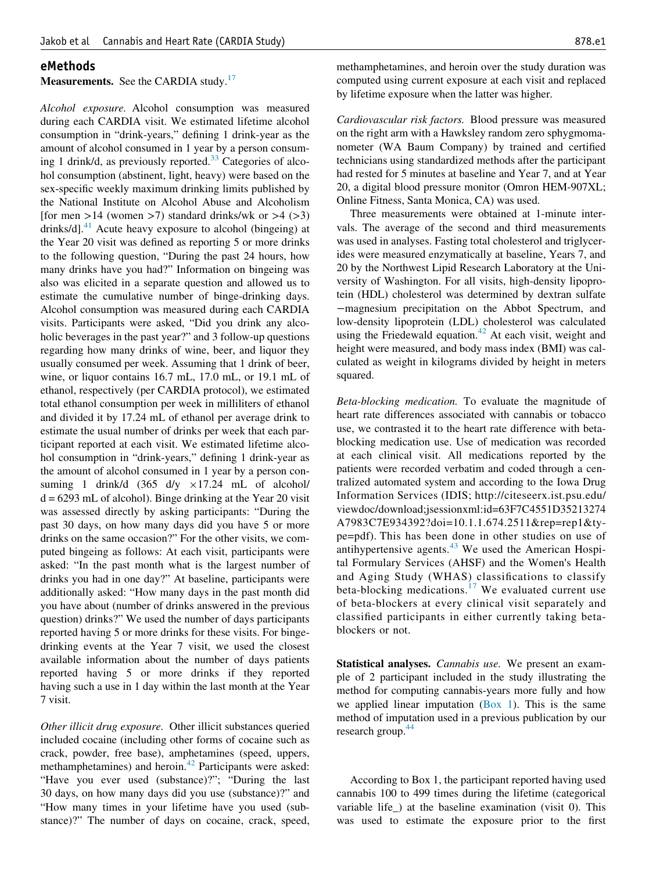#### eMethods

# Measurements. See the CARDIA study.<sup>[17](#page-7-2)</sup>

Alcohol exposure. Alcohol consumption was measured during each CARDIA visit. We estimated lifetime alcohol consumption in "drink-years," defining 1 drink-year as the amount of alcohol consumed in 1 year by a person consum-ing 1 drink/d, as previously reported.<sup>[33](#page-7-11)</sup> Categories of alcohol consumption (abstinent, light, heavy) were based on the sex-specific weekly maximum drinking limits published by the National Institute on Alcohol Abuse and Alcoholism [for men  $>14$  (women  $>7$ ) standard drinks/wk or  $>4$  ( $>3$ ) drinks/d].<sup>[41](#page-7-21)</sup> Acute heavy exposure to alcohol (bingeing) at the Year 20 visit was defined as reporting 5 or more drinks to the following question, "During the past 24 hours, how many drinks have you had?" Information on bingeing was also was elicited in a separate question and allowed us to estimate the cumulative number of binge-drinking days. Alcohol consumption was measured during each CARDIA visits. Participants were asked, "Did you drink any alcoholic beverages in the past year?" and 3 follow-up questions regarding how many drinks of wine, beer, and liquor they usually consumed per week. Assuming that 1 drink of beer, wine, or liquor contains 16.7 mL, 17.0 mL, or 19.1 mL of ethanol, respectively (per CARDIA protocol), we estimated total ethanol consumption per week in milliliters of ethanol and divided it by 17.24 mL of ethanol per average drink to estimate the usual number of drinks per week that each participant reported at each visit. We estimated lifetime alcohol consumption in "drink-years," defining 1 drink-year as the amount of alcohol consumed in 1 year by a person consuming 1 drink/d  $(365 \text{ d/y} \times 17.24 \text{ mL of alcohol})$  $d = 6293$  mL of alcohol). Binge drinking at the Year 20 visit was assessed directly by asking participants: "During the past 30 days, on how many days did you have 5 or more drinks on the same occasion?" For the other visits, we computed bingeing as follows: At each visit, participants were asked: "In the past month what is the largest number of drinks you had in one day?" At baseline, participants were additionally asked: "How many days in the past month did you have about (number of drinks answered in the previous question) drinks?" We used the number of days participants reported having 5 or more drinks for these visits. For bingedrinking events at the Year 7 visit, we used the closest available information about the number of days patients reported having 5 or more drinks if they reported having such a use in 1 day within the last month at the Year 7 visit.

Other illicit drug exposure. Other illicit substances queried included cocaine (including other forms of cocaine such as crack, powder, free base), amphetamines (speed, uppers, methamphetamines) and heroin.<sup>[42](#page-7-22)</sup> Participants were asked: "Have you ever used (substance)?"; "During the last 30 days, on how many days did you use (substance)?" and "How many times in your lifetime have you used (substance)?" The number of days on cocaine, crack, speed,

methamphetamines, and heroin over the study duration was computed using current exposure at each visit and replaced by lifetime exposure when the latter was higher.

Cardiovascular risk factors. Blood pressure was measured on the right arm with a Hawksley random zero sphygmomanometer (WA Baum Company) by trained and certified technicians using standardized methods after the participant had rested for 5 minutes at baseline and Year 7, and at Year 20, a digital blood pressure monitor (Omron HEM-907XL; Online Fitness, Santa Monica, CA) was used.

Three measurements were obtained at 1-minute intervals. The average of the second and third measurements was used in analyses. Fasting total cholesterol and triglycerides were measured enzymatically at baseline, Years 7, and 20 by the Northwest Lipid Research Laboratory at the University of Washington. For all visits, high-density lipoprotein (HDL) cholesterol was determined by dextran sulfate −magnesium precipitation on the Abbot Spectrum, and low-density lipoprotein (LDL) cholesterol was calculated using the Friedewald equation. $42$  At each visit, weight and height were measured, and body mass index (BMI) was calculated as weight in kilograms divided by height in meters squared.

Beta-blocking medication. To evaluate the magnitude of heart rate differences associated with cannabis or tobacco use, we contrasted it to the heart rate difference with betablocking medication use. Use of medication was recorded at each clinical visit. All medications reported by the patients were recorded verbatim and coded through a centralized automated system and according to the Iowa Drug Information Services (IDIS; http://citeseerx.ist.psu.edu/ viewdoc/download;jsessionxml:id=63F7C4551D35213274 A7983C7E934392?doi=10.1.1.674.2511&rep=rep1&type=pdf). This has been done in other studies on use of antihypertensive agents. $43$  We used the American Hospital Formulary Services (AHSF) and the Women's Health and Aging Study (WHAS) classifications to classify beta-blocking medications.<sup>[17](#page-7-2)</sup> We evaluated current use of beta-blockers at every clinical visit separately and classified participants in either currently taking betablockers or not.

Statistical analyses. *Cannabis use*. We present an example of 2 participant included in the study illustrating the method for computing cannabis-years more fully and how we applied linear imputation (Box 1). This is the same method of imputation used in a previous publication by our research group.<sup>[44](#page-7-24)</sup>

According to Box 1, the participant reported having used cannabis 100 to 499 times during the lifetime (categorical variable life\_) at the baseline examination (visit 0). This was used to estimate the exposure prior to the first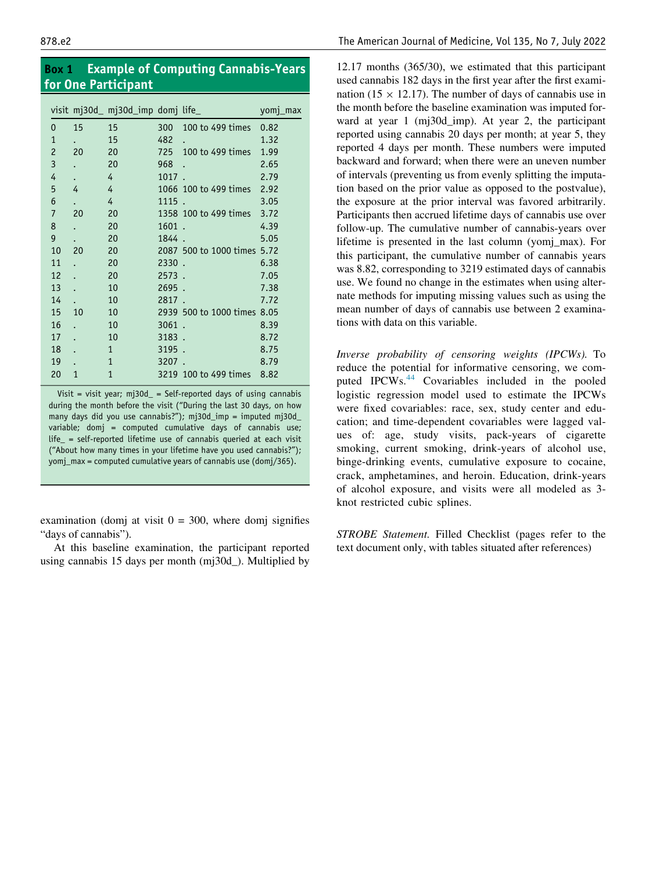Box 1 Example of Computing Cannabis-Years for One Participant

|                |                      | visit mj30d_ mj30d_imp domj life_ |       |                             | yomj_max |
|----------------|----------------------|-----------------------------------|-------|-----------------------------|----------|
| $\Omega$       | 15                   | 15                                | 300   | 100 to 499 times            | 0.82     |
| $\mathbf{1}$   |                      | 15                                | 482   |                             | 1.32     |
| $\overline{c}$ | 20                   | 20                                | 725   | 100 to 499 times            | 1.99     |
| 3              | $\ddot{\phantom{0}}$ | 20                                | 968   |                             | 2.65     |
| 4              |                      | 4                                 | 1017  |                             | 2.79     |
| 5              | 4                    | 4                                 |       | 1066 100 to 499 times 2.92  |          |
| 6              |                      | 4                                 | 1115. |                             | 3.05     |
| $\overline{7}$ | 20                   | 20                                |       | 1358 100 to 499 times 3.72  |          |
| 8              | $\bullet$            | 20                                | 1601. |                             | 4.39     |
| 9              |                      | 20                                | 1844. |                             | 5.05     |
| 10             | 20                   | 20                                |       | 2087 500 to 1000 times 5.72 |          |
| 11             |                      | 20                                | 2330. |                             | 6.38     |
| 12             |                      | 20                                | 2573. |                             | 7.05     |
| 13             |                      | 10                                | 2695. |                             | 7.38     |
| 14             |                      | 10                                | 2817. |                             | 7.72     |
| 15             | 10                   | 10                                |       | 2939 500 to 1000 times 8.05 |          |
| 16             |                      | 10                                | 3061. |                             | 8.39     |
| 17             |                      | 10                                | 3183. |                             | 8.72     |
| 18             |                      | $\mathbf{1}$                      | 3195. |                             | 8.75     |
| 19             |                      | $\mathbf{1}$                      | 3207. |                             | 8.79     |
| 20             | 1                    | $\mathbf{1}$                      |       | 3219 100 to 499 times       | 8.82     |
|                |                      |                                   |       |                             |          |

Visit = visit year;  $mj30d$  = Self-reported days of using cannabis during the month before the visit ("During the last 30 days, on how many days did you use cannabis?"); mj30d\_imp = imputed mj30d\_ variable; domj = computed cumulative days of cannabis use; life\_ = self-reported lifetime use of cannabis queried at each visit ("About how many times in your lifetime have you used cannabis?"); yomj\_max = computed cumulative years of cannabis use (domj/365).

examination (domj at visit  $0 = 300$ , where domj signifies "days of cannabis").

At this baseline examination, the participant reported using cannabis 15 days per month (mj30d\_). Multiplied by

12.17 months (365/30), we estimated that this participant used cannabis 182 days in the first year after the first examination (15  $\times$  12.17). The number of days of cannabis use in the month before the baseline examination was imputed forward at year 1 (mj30d\_imp). At year 2, the participant reported using cannabis 20 days per month; at year 5, they reported 4 days per month. These numbers were imputed backward and forward; when there were an uneven number of intervals (preventing us from evenly splitting the imputation based on the prior value as opposed to the postvalue), the exposure at the prior interval was favored arbitrarily. Participants then accrued lifetime days of cannabis use over follow-up. The cumulative number of cannabis-years over lifetime is presented in the last column (yomj\_max). For this participant, the cumulative number of cannabis years was 8.82, corresponding to 3219 estimated days of cannabis use. We found no change in the estimates when using alternate methods for imputing missing values such as using the mean number of days of cannabis use between 2 examinations with data on this variable.

Inverse probability of censoring weights (IPCWs). To reduce the potential for informative censoring, we com-puted IPCWs.<sup>[44](#page-7-24)</sup> Covariables included in the pooled logistic regression model used to estimate the IPCWs were fixed covariables: race, sex, study center and education; and time-dependent covariables were lagged values of: age, study visits, pack-years of cigarette smoking, current smoking, drink-years of alcohol use, binge-drinking events, cumulative exposure to cocaine, crack, amphetamines, and heroin. Education, drink-years of alcohol exposure, and visits were all modeled as 3 knot restricted cubic splines.

STROBE Statement. Filled Checklist (pages refer to the text document only, with tables situated after references)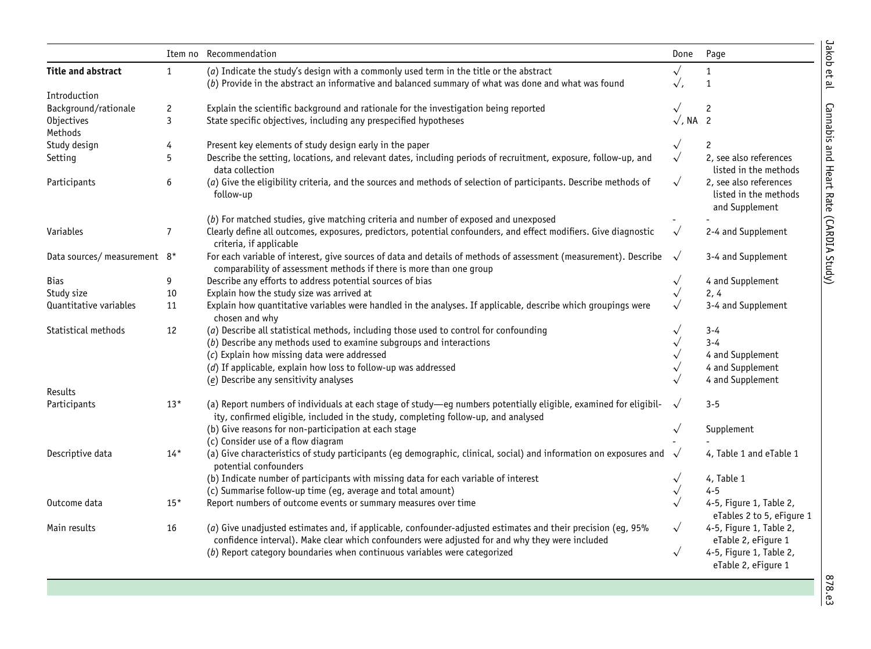|                              | Item no        | Recommendation                                                                                                                                                                                                  | Done                    | Page                                                              |
|------------------------------|----------------|-----------------------------------------------------------------------------------------------------------------------------------------------------------------------------------------------------------------|-------------------------|-------------------------------------------------------------------|
| <b>Title and abstract</b>    | $\mathbf{1}$   | (a) Indicate the study's design with a commonly used term in the title or the abstract<br>(b) Provide in the abstract an informative and balanced summary of what was done and what was found                   | $\sqrt{}$<br>$\sqrt{ }$ | $\mathbf{1}$<br>$\mathbf{1}$                                      |
| Introduction                 |                |                                                                                                                                                                                                                 |                         |                                                                   |
| Background/rationale         | $\overline{c}$ | Explain the scientific background and rationale for the investigation being reported                                                                                                                            |                         | $\mathbf{2}$                                                      |
| Objectives<br>Methods        | 3              | State specific objectives, including any prespecified hypotheses                                                                                                                                                | $\sqrt{$ , NA 2         |                                                                   |
| Study design                 | 4              | Present key elements of study design early in the paper                                                                                                                                                         | $\sqrt{ }$              | 2                                                                 |
| Setting                      | 5              | Describe the setting, locations, and relevant dates, including periods of recruitment, exposure, follow-up, and<br>data collection                                                                              | $\sqrt{}$               | 2, see also references<br>listed in the methods                   |
| Participants                 | 6              | (a) Give the eligibility criteria, and the sources and methods of selection of participants. Describe methods of<br>follow-up                                                                                   | $\sqrt{}$               | 2, see also references<br>listed in the methods<br>and Supplement |
|                              |                | (b) For matched studies, give matching criteria and number of exposed and unexposed                                                                                                                             |                         |                                                                   |
| Variables                    | $\overline{7}$ | Clearly define all outcomes, exposures, predictors, potential confounders, and effect modifiers. Give diagnostic<br>criteria, if applicable                                                                     | $\sqrt{}$               | 2-4 and Supplement                                                |
| Data sources/ measurement 8* |                | For each variable of interest, give sources of data and details of methods of assessment (measurement). Describe<br>comparability of assessment methods if there is more than one group                         | $\sqrt{ }$              | 3-4 and Supplement                                                |
| <b>Bias</b>                  | 9              | Describe any efforts to address potential sources of bias                                                                                                                                                       | $\sqrt{ }$              | 4 and Supplement                                                  |
| Study size                   | 10             | Explain how the study size was arrived at                                                                                                                                                                       | $\sqrt{ }$              | 2, 4                                                              |
| Quantitative variables       | 11             | Explain how quantitative variables were handled in the analyses. If applicable, describe which groupings were<br>chosen and why                                                                                 | $\sqrt{}$               | 3-4 and Supplement                                                |
| Statistical methods          | 12             | (a) Describe all statistical methods, including those used to control for confounding                                                                                                                           | $\sqrt{ }$              | $3 - 4$                                                           |
|                              |                | (b) Describe any methods used to examine subgroups and interactions                                                                                                                                             | $\sqrt{}$               | $3 - 4$                                                           |
|                              |                | (c) Explain how missing data were addressed                                                                                                                                                                     | $\sqrt{}$               | 4 and Supplement                                                  |
|                              |                | (d) If applicable, explain how loss to follow-up was addressed                                                                                                                                                  | $\sqrt{}$               | 4 and Supplement                                                  |
|                              |                | (e) Describe any sensitivity analyses                                                                                                                                                                           |                         | 4 and Supplement                                                  |
| Results                      |                |                                                                                                                                                                                                                 |                         |                                                                   |
| Participants                 | $13*$          | (a) Report numbers of individuals at each stage of study—eg numbers potentially eligible, examined for eligibil-<br>ity, confirmed eligible, included in the study, completing follow-up, and analysed          | $\sqrt{ }$              | $3 - 5$                                                           |
|                              |                | (b) Give reasons for non-participation at each stage                                                                                                                                                            | $\sqrt{ }$              | Supplement                                                        |
|                              |                | (c) Consider use of a flow diagram                                                                                                                                                                              |                         |                                                                   |
| Descriptive data             | $14*$          | (a) Give characteristics of study participants (eq demographic, clinical, social) and information on exposures and<br>potential confounders                                                                     |                         | 4, Table 1 and eTable 1                                           |
|                              |                | (b) Indicate number of participants with missing data for each variable of interest                                                                                                                             | $\sqrt{ }$              | 4, Table 1                                                        |
|                              |                | (c) Summarise follow-up time (eg, average and total amount)                                                                                                                                                     | $\sqrt{ }$              | $4 - 5$                                                           |
| Outcome data                 | $15*$          | Report numbers of outcome events or summary measures over time                                                                                                                                                  |                         | 4-5, Figure 1, Table 2,<br>eTables 2 to 5, eFigure 1              |
| Main results                 | 16             | (a) Give unadjusted estimates and, if applicable, confounder-adjusted estimates and their precision (eg, 95%<br>confidence interval). Make clear which confounders were adjusted for and why they were included | $\sqrt{ }$              | 4-5, Figure 1, Table 2,<br>eTable 2, eFigure 1                    |
|                              |                | (b) Report category boundaries when continuous variables were categorized                                                                                                                                       | $\sqrt{}$               | 4-5, Figure 1, Table 2,<br>eTable 2, eFigure 1                    |

878.e3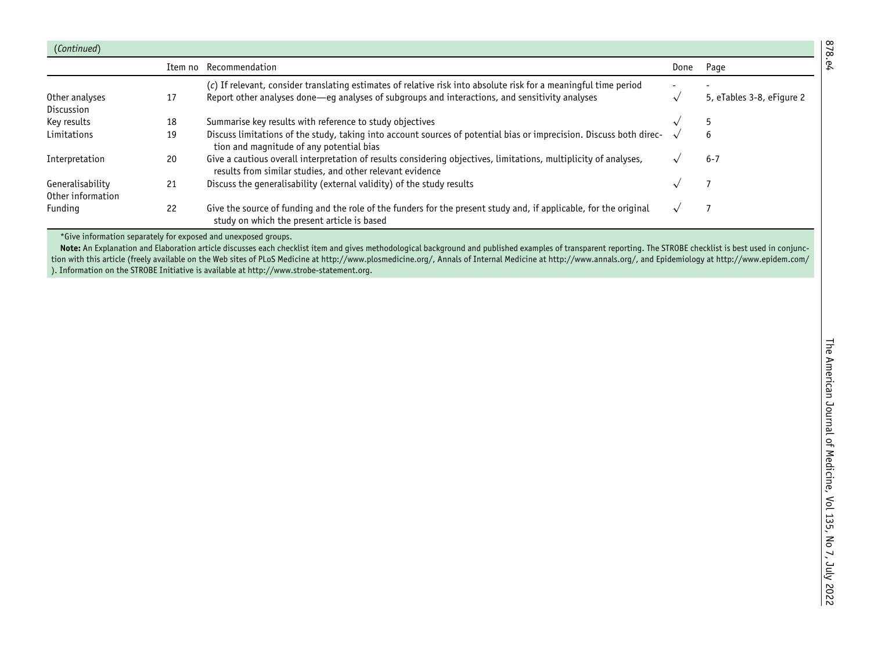| (Continued)       |         |                                                                                                                                                                               |      |                           |
|-------------------|---------|-------------------------------------------------------------------------------------------------------------------------------------------------------------------------------|------|---------------------------|
|                   | Item no | Recommendation                                                                                                                                                                | Done | Page                      |
|                   |         | (c) If relevant, consider translating estimates of relative risk into absolute risk for a meaningful time period                                                              |      |                           |
| Other analyses    | 17      | Report other analyses done—eq analyses of subgroups and interactions, and sensitivity analyses                                                                                |      | 5, eTables 3-8, eFigure 2 |
| Discussion        |         |                                                                                                                                                                               |      |                           |
| Key results       | 18      | Summarise key results with reference to study objectives                                                                                                                      |      |                           |
| Limitations       | 19      | Discuss limitations of the study, taking into account sources of potential bias or imprecision. Discuss both direc-<br>tion and magnitude of any potential bias               |      | 6                         |
| Interpretation    | 20      | Give a cautious overall interpretation of results considering objectives, limitations, multiplicity of analyses,<br>results from similar studies, and other relevant evidence |      | $6 - 7$                   |
| Generalisability  | 21      | Discuss the generalisability (external validity) of the study results                                                                                                         |      |                           |
| Other information |         |                                                                                                                                                                               |      |                           |
| Funding           | 22      | Give the source of funding and the role of the funders for the present study and, if applicable, for the original<br>study on which the present article is based              |      |                           |

\*Give information separately for exposed and unexposed groups.

**Note:** An Explanation and Elaboration article discusses each checklist item and gives methodological background and published examples of transparent reporting. The STROBE checklist is best used in conjunction with this article (freely available on the Web sites of PLoS Medicine at http://www.plosmedicine.org/, Annals of Internal Medicine at http://www.annals.org/, and Epidemiology at http://www.epidem.com/ ). Information on the STROBE Initiative is available at http://www.strobe-statement.org.

878.e4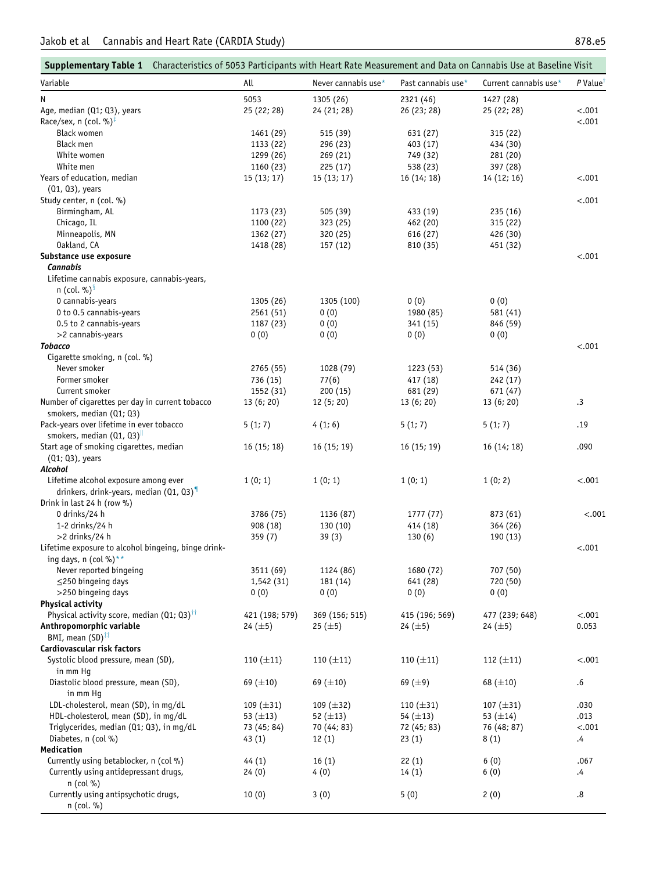$\mathcal{L}_{\mathcal{A}}$ 

<span id="page-12-0"></span>

| Supplementary Table 1 Characteristics of 5053 Participants with Heart Rate Measurement and Data on Cannabis Use at Baseline Visit |                       |                      |                      |                       |                        |
|-----------------------------------------------------------------------------------------------------------------------------------|-----------------------|----------------------|----------------------|-----------------------|------------------------|
| Variable                                                                                                                          | All                   | Never cannabis use*  | Past cannabis use*   | Current cannabis use* | $P$ Value <sup>T</sup> |
| N                                                                                                                                 | 5053                  | 1305 (26)            | 2321 (46)            | 1427 (28)             |                        |
| Age, median (Q1; Q3), years                                                                                                       | 25 (22; 28)           | 24 (21; 28)          | 26 (23; 28)          | 25 (22; 28)           | $-.001$                |
| Race/sex, n (col. %) $\overline{f}$                                                                                               |                       |                      |                      |                       | $-.001$                |
| <b>Black women</b>                                                                                                                | 1461 (29)             | 515 (39)             | 631 (27)             | 315 (22)              |                        |
| <b>Black men</b>                                                                                                                  | 1133 (22)             | 296 (23)             | 403 (17)             | 434 (30)              |                        |
| White women                                                                                                                       | 1299 (26)             | 269 (21)             | 749 (32)             | 281 (20)              |                        |
| White men                                                                                                                         | 1160 (23)             | 225(17)              | 538 (23)             | 397 (28)              |                        |
| Years of education, median                                                                                                        | 15(13;17)             | 15(13;17)            | 16(14; 18)           | 14 (12; 16)           | $-.001$                |
| $(Q1, Q3)$ , years                                                                                                                |                       |                      |                      |                       |                        |
| Study center, n (col. %)                                                                                                          |                       |                      |                      |                       | $-.001$                |
| Birmingham, AL                                                                                                                    | 1173 (23)             | 505 (39)             | 433 (19)             | 235 (16)              |                        |
| Chicago, IL                                                                                                                       | 1100 (22)             | 323 (25)             | 462 (20)             | 315 (22)              |                        |
| Minneapolis, MN                                                                                                                   | 1362 (27)             | 320 (25)             | 616 (27)             | 426 (30)              |                        |
| Oakland, CA                                                                                                                       | 1418 (28)             | 157 (12)             | 810 (35)             | 451 (32)              |                        |
| Substance use exposure                                                                                                            |                       |                      |                      |                       | $-.001$                |
| <b>Cannabis</b>                                                                                                                   |                       |                      |                      |                       |                        |
| Lifetime cannabis exposure, cannabis-years,                                                                                       |                       |                      |                      |                       |                        |
| n (col. %) $\frac{8}{3}$                                                                                                          |                       |                      |                      |                       |                        |
| 0 cannabis-years                                                                                                                  | 1305 (26)             | 1305 (100)           | 0(0)                 | 0(0)                  |                        |
| 0 to 0.5 cannabis-years                                                                                                           | 2561 (51)             | 0(0)                 | 1980 (85)            | 581 (41)              |                        |
| 0.5 to 2 cannabis-years                                                                                                           | 1187 (23)             | 0(0)                 | 341 (15)             | 846 (59)              |                        |
| >2 cannabis-years                                                                                                                 | 0(0)                  | 0(0)                 | 0(0)                 | 0(0)                  |                        |
| <b>Tobacco</b>                                                                                                                    |                       |                      |                      |                       | $-.001$                |
| Cigarette smoking, n (col. %)                                                                                                     |                       |                      |                      |                       |                        |
| Never smoker                                                                                                                      | 2765 (55)             | 1028 (79)            | 1223 (53)            | 514 (36)              |                        |
| Former smoker                                                                                                                     | 736 (15)              | 77(6)                | 417 (18)             | 242 (17)              |                        |
| Current smoker                                                                                                                    | 1552 (31)             | 200(15)              | 681 (29)             | 671 (47)              |                        |
| Number of cigarettes per day in current tobacco                                                                                   | 13(6; 20)             | 12(5; 20)            | 13(6; 20)            | 13 (6; 20)            | $\cdot$ 3              |
| smokers, median (Q1; Q3)                                                                                                          |                       |                      |                      |                       |                        |
| Pack-years over lifetime in ever tobacco                                                                                          | 5(1; 7)               | 4(1; 6)              | 5(1; 7)              | 5(1; 7)               | .19                    |
| smokers, median $(Q1, Q3)^{\parallel}$                                                                                            |                       |                      |                      |                       |                        |
| Start age of smoking cigarettes, median                                                                                           | 16(15;18)             | 16(15; 19)           | 16(15; 19)           | 16 (14; 18)           | .090                   |
| (Q1; Q3), years                                                                                                                   |                       |                      |                      |                       |                        |
| Alcohol                                                                                                                           |                       |                      |                      |                       |                        |
| Lifetime alcohol exposure among ever<br>drinkers, drink-years, median $(Q1, Q3)$ <sup>9</sup>                                     | 1(0; 1)               | 1(0; 1)              | 1(0; 1)              | 1(0; 2)               | $-.001$                |
|                                                                                                                                   |                       |                      |                      |                       |                        |
| Drink in last 24 h (row %)<br>0 drinks/24 h                                                                                       |                       |                      |                      | 873 (61)              | < .001                 |
| 1-2 drinks/24 h                                                                                                                   | 3786 (75)<br>908 (18) | 1136 (87)<br>130(10) | 1777(77)<br>414 (18) | 364 (26)              |                        |
| $>2$ drinks/24 h                                                                                                                  | 359(7)                | 39(3)                | 130(6)               | 190 (13)              |                        |
| Lifetime exposure to alcohol bingeing, binge drink-                                                                               |                       |                      |                      |                       | $-.001$                |
| ing days, n (col %)**                                                                                                             |                       |                      |                      |                       |                        |
| Never reported bingeing                                                                                                           | 3511 (69)             | 1124 (86)            | 1680 (72)            | 707 (50)              |                        |
| $\leq$ 250 bingeing days                                                                                                          | 1,542(31)             | 181 (14)             | 641 (28)             | 720 (50)              |                        |
| >250 bingeing days                                                                                                                | 0(0)                  | 0(0)                 | 0(0)                 | 0(0)                  |                        |
| <b>Physical activity</b>                                                                                                          |                       |                      |                      |                       |                        |
| Physical activity score, median (Q1; Q3) <sup>††</sup>                                                                            | 421 (198; 579)        | 369 (156; 515)       | 415 (196; 569)       | 477 (239; 648)        | $-.001$                |
| Anthropomorphic variable                                                                                                          | 24 $(\pm 5)$          | 25 $(\pm 5)$         | 24 $(\pm 5)$         | 24 $(\pm 5)$          | 0.053                  |
| BMI, mean $(SD)^{\ddagger\ddagger}$                                                                                               |                       |                      |                      |                       |                        |
| Cardiovascular risk factors                                                                                                       |                       |                      |                      |                       |                        |
| Systolic blood pressure, mean (SD),                                                                                               | 110 $(\pm 11)$        | 110 $(\pm 11)$       | 110 $(\pm 11)$       | 112 $(\pm 11)$        | $-.001$                |
| in mm Hq                                                                                                                          |                       |                      |                      |                       |                        |
| Diastolic blood pressure, mean (SD),                                                                                              | 69 $(\pm 10)$         | 69 $(\pm 10)$        | 69 $(±9)$            | 68 $(\pm 10)$         | $.6\,$                 |
| in mm Hq                                                                                                                          |                       |                      |                      |                       |                        |
| LDL-cholesterol, mean (SD), in mg/dL                                                                                              | 109 $(\pm 31)$        | 109 $(\pm 32)$       | 110 $(\pm 31)$       | 107 $(\pm 31)$        | .030                   |
| HDL-cholesterol, mean (SD), in mg/dL                                                                                              | 53 $(\pm 13)$         | 52 $(\pm 13)$        | 54 $(\pm 13)$        | 53 $(\pm 14)$         | .013                   |
| Triglycerides, median (Q1; Q3), in mg/dL                                                                                          | 73 (45; 84)           | 70 (44; 83)          | 72 (45; 83)          | 76 (48; 87)           | $-.001$                |
| Diabetes, n (col %)                                                                                                               | 43 (1)                | 12(1)                | 23(1)                | 8(1)                  | .4                     |
| Medication                                                                                                                        |                       |                      |                      |                       |                        |
| Currently using betablocker, n (col %)                                                                                            | 44 (1)                | 16(1)                | 22(1)                | 6(0)                  | .067                   |
| Currently using antidepressant drugs,                                                                                             | 24(0)                 | 4(0)                 | 14(1)                | 6(0)                  | .4                     |
| $n$ (col %)                                                                                                                       |                       |                      |                      |                       |                        |
| Currently using antipsychotic drugs,                                                                                              | 10(0)                 | 3(0)                 | 5(0)                 | 2(0)                  | .8                     |
| n (col. %)                                                                                                                        |                       |                      |                      |                       |                        |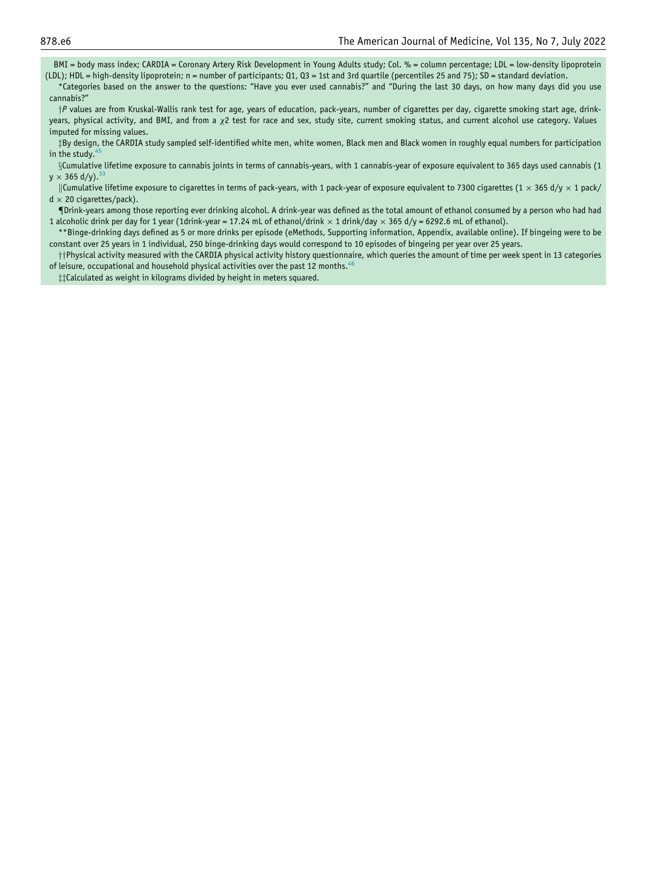BMI = body mass index; CARDIA = Coronary Artery Risk Development in Young Adults study; Col. % = column percentage; LDL = low-density lipoprotein (LDL); HDL = high-density lipoprotein; n = number of participants; Q1, Q3 = 1st and 3rd quartile (percentiles 25 and 75); SD = standard deviation.

<span id="page-13-1"></span><span id="page-13-0"></span>\*Categories based on the answer to the questions: "Have you ever used cannabis?" and "During the last 30 days, on how many days did you use cannabis?"

<sup>y</sup><sup>P</sup> values are from Kruskal-Wallis rank test for age, years of education, pack-years, number of cigarettes per day, cigarette smoking start age, drinkyears, physical activity, and BMI, and from a x2 test for race and sex, study site, current smoking status, and current alcohol use category. Values imputed for missing values.

<span id="page-13-2"></span>zBy design, the CARDIA study sampled self-identified white men, white women, Black men and Black women in roughly equal numbers for participation in the study. $45$ 

<span id="page-13-4"></span><span id="page-13-3"></span> $\S$ Cumulative lifetime exposure to cannabis joints in terms of cannabis-years, with 1 cannabis-year of exposure equivalent to 365 days used cannabis (1  $y \times 365$  d/y).<sup>3</sup>

<span id="page-13-5"></span>||Cumulative lifetime exposure to cigarettes in terms of pack-years, with 1 pack-year of exposure equivalent to 7300 cigarettes (1  $\times$  365 d/y  $\times$  1 pack/  $d \times 20$  cigarettes/pack).

<span id="page-13-6"></span>{Drink-years among those reporting ever drinking alcohol. A drink-year was defined as the total amount of ethanol consumed by a person who had had 1 alcoholic drink per day for 1 year (1drink-year = 17.24 mL of ethanol/drink  $\times$  1 drink/day  $\times$  365 d/y = 6292.6 mL of ethanol).

<span id="page-13-7"></span>\*\*Binge-drinking days defined as 5 or more drinks per episode (eMethods, Supporting information, Appendix, available online). If bingeing were to be constant over 25 years in 1 individual, 250 binge-drinking days would correspond to 10 episodes of bingeing per year over 25 years.

<span id="page-13-8"></span> $\dagger\dagger$ Physical activity measured with the CARDIA physical activity history questionnaire, which queries the amount of time per week spent in 13 categories of leisure, occupational and household physical activities over the past 12 months.<sup>4</sup>

##Calculated as weight in kilograms divided by height in meters squared.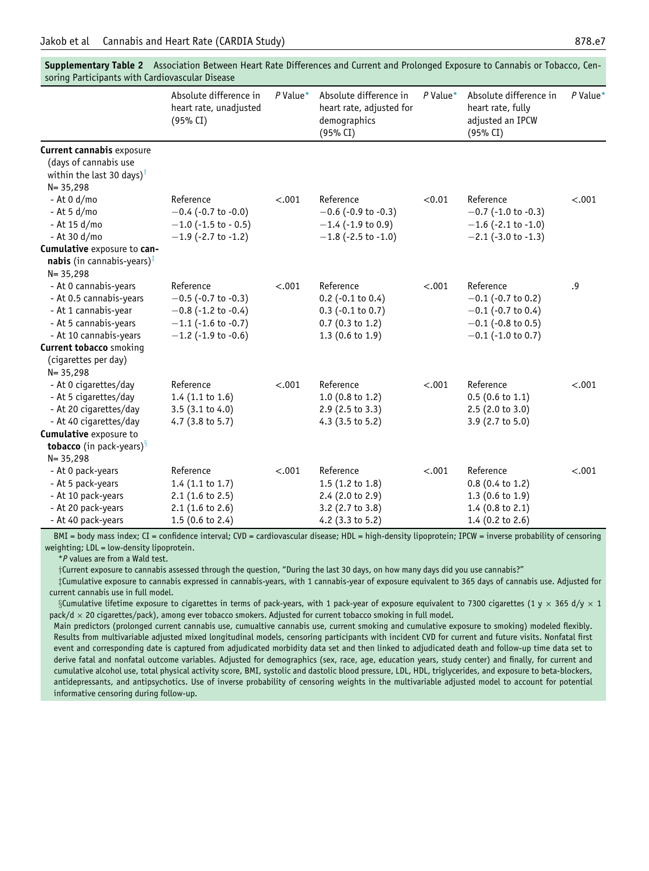| soring Participants with cardiovascular Disease                                                                                     |                                                                                                                           |            |                                                                                                     |            |                                                                                                            |            |
|-------------------------------------------------------------------------------------------------------------------------------------|---------------------------------------------------------------------------------------------------------------------------|------------|-----------------------------------------------------------------------------------------------------|------------|------------------------------------------------------------------------------------------------------------|------------|
|                                                                                                                                     | Absolute difference in<br>heart rate, unadjusted<br>(95% CI)                                                              | $P$ Value* | Absolute difference in<br>heart rate, adjusted for<br>demographics<br>(95% CI)                      | $P$ Value* | Absolute difference in<br>heart rate, fully<br>adjusted an IPCW<br>(95% CI)                                | $P$ Value* |
| <b>Current cannabis exposure</b><br>(days of cannabis use<br>within the last 30 days) <sup>†</sup><br>$N = 35,298$                  |                                                                                                                           |            |                                                                                                     |            |                                                                                                            |            |
| $-$ At 0 d/mo<br>- At 5 d/mo<br>- At 15 d/mo<br>- At 30 d/mo                                                                        | Reference<br>$-0.4$ (-0.7 to -0.0)<br>$-1.0$ (-1.5 to - 0.5)<br>$-1.9$ (-2.7 to -1.2)                                     | < .001     | Reference<br>$-0.6$ (-0.9 to -0.3)<br>$-1.4$ (-1.9 to 0.9)<br>$-1.8$ (-2.5 to -1.0)                 | < 0.01     | Reference<br>$-0.7$ (-1.0 to -0.3)<br>$-1.6$ (-2.1 to -1.0)<br>$-2.1$ (-3.0 to -1.3)                       | < .001     |
| Cumulative exposure to can-<br><b>nabis</b> (in cannabis-years) <sup><math>\ddagger</math></sup><br>$N = 35,298$                    |                                                                                                                           |            |                                                                                                     |            |                                                                                                            |            |
| - At 0 cannabis-years<br>- At 0.5 cannabis-years<br>- At 1 cannabis-year<br>- At 5 cannabis-years<br>- At 10 cannabis-years         | Reference<br>$-0.5$ (-0.7 to -0.3)<br>$-0.8$ (-1.2 to -0.4)<br>$-1.1$ (-1.6 to -0.7)<br>$-1.2$ (-1.9 to -0.6)             | < .001     | Reference<br>$0.2$ (-0.1 to 0.4)<br>$0.3$ (-0.1 to 0.7)<br>$0.7$ (0.3 to 1.2)<br>1.3 (0.6 to 1.9)   | < .001     | Reference<br>$-0.1$ (-0.7 to 0.2)<br>$-0.1$ (-0.7 to 0.4)<br>$-0.1$ (-0.8 to 0.5)<br>$-0.1$ (-1.0 to 0.7)  | .9         |
| <b>Current tobacco</b> smoking<br>(cigarettes per day)<br>$N = 35,298$                                                              |                                                                                                                           |            |                                                                                                     |            |                                                                                                            |            |
| - At 0 cigarettes/day<br>- At 5 cigarettes/day<br>- At 20 cigarettes/day<br>- At 40 cigarettes/day<br><b>Cumulative exposure to</b> | Reference<br>$1.4$ (1.1 to 1.6)<br>$3.5(3.1 \text{ to } 4.0)$<br>4.7 $(3.8 \text{ to } 5.7)$                              | < .001     | Reference<br>$1.0$ (0.8 to 1.2)<br>$2.9$ (2.5 to 3.3)<br>$4.3$ (3.5 to 5.2)                         | < .001     | Reference<br>$0.5(0.6 \text{ to } 1.1)$<br>2.5(2.0 to 3.0)<br>3.9 (2.7 to 5.0)                             | $-.001$    |
| <b>tobacco</b> (in pack-years) $\frac{8}{3}$<br>$N = 35,298$                                                                        |                                                                                                                           |            |                                                                                                     |            |                                                                                                            |            |
| - At 0 pack-years<br>- At 5 pack-years<br>- At 10 pack-years<br>- At 20 pack-years<br>- At 40 pack-years                            | Reference<br>$1.4$ (1.1 to 1.7)<br>$2.1(1.6 \text{ to } 2.5)$<br>$2.1(1.6 \text{ to } 2.6)$<br>$1.5(0.6 \text{ to } 2.4)$ | < .001     | Reference<br>$1.5(1.2 \text{ to } 1.8)$<br>2.4 (2.0 to 2.9)<br>3.2 (2.7 to 3.8)<br>4.2 (3.3 to 5.2) | < .001     | Reference<br>$0.8$ (0.4 to 1.2)<br>$1.3(0.6 \text{ to } 1.9)$<br>$1.4$ (0.8 to 2.1)<br>1.4 (0.2 to $2.6$ ) | < .001     |

<span id="page-14-0"></span>Supplementary Table 2 Association Between Heart Rate Differences and Current and Prolonged Exposure to Cannabis or Tobacco, Censoring Participants with Cardiovascular Disease

<span id="page-14-1"></span>BMI = body mass index; CI = confidence interval; CVD = cardiovascular disease; HDL = high-density lipoprotein; IPCW = inverse probability of censoring weighting; LDL = low-density lipoprotein.

\*P values are from a Wald test.

yCurrent exposure to cannabis assessed through the question, "During the last 30 days, on how many days did you use cannabis?"

<span id="page-14-3"></span><span id="page-14-2"></span>zCumulative exposure to cannabis expressed in cannabis-years, with 1 cannabis-year of exposure equivalent to 365 days of cannabis use. Adjusted for current cannabis use in full model.

§Cumulative lifetime exposure to cigarettes in terms of pack-years, with 1 pack-year of exposure equivalent to 7300 cigarettes (1 y  $\times$  365 d/y  $\times$  1  $pack/d \times 20$  cigarettes/pack), among ever tobacco smokers. Adjusted for current tobacco smoking in full model.

Main predictors (prolonged current cannabis use, cumualtive cannabis use, current smoking and cumulative exposure to smoking) modeled flexibly. Results from multivariable adjusted mixed longitudinal models, censoring participants with incident CVD for current and future visits. Nonfatal first event and corresponding date is captured from adjudicated morbidity data set and then linked to adjudicated death and follow-up time data set to derive fatal and nonfatal outcome variables. Adjusted for demographics (sex, race, age, education years, study center) and finally, for current and cumulative alcohol use, total physical activity score, BMI, systolic and dastolic blood pressure, LDL, HDL, triglycerides, and exposure to beta-blockers, antidepressants, and antipsychotics. Use of inverse probability of censoring weights in the multivariable adjusted model to account for potential informative censoring during follow-up.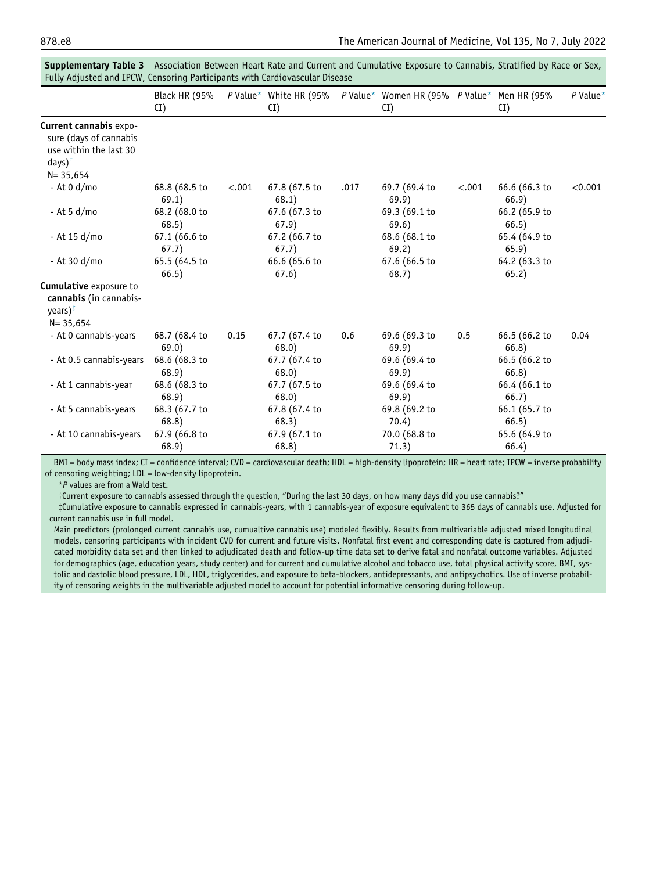|                                                                                                                  | <b>Black HR (95%</b><br>CI) |        | P Value* White HR (95%<br>CI) |      | P Value* Women HR (95% P Value* Men HR (95%<br>CI) |         | CI)                    | $P$ Value* |
|------------------------------------------------------------------------------------------------------------------|-----------------------------|--------|-------------------------------|------|----------------------------------------------------|---------|------------------------|------------|
| Current cannabis expo-<br>sure (days of cannabis<br>use within the last 30<br>days) <sup>†</sup><br>$N = 35,654$ |                             |        |                               |      |                                                    |         |                        |            |
| - At 0 d/mo                                                                                                      | 68.8 (68.5 to<br>69.1)      | < .001 | 67.8 (67.5 to<br>68.1)        | .017 | 69.7 (69.4 to<br>69.9)                             | $-.001$ | 66.6 (66.3 to<br>66.9) | < 0.001    |
| - At 5 d/mo                                                                                                      | 68.2 (68.0 to<br>68.5)      |        | 67.6 (67.3 to<br>67.9)        |      | 69.3 (69.1 to<br>69.6)                             |         | 66.2 (65.9 to<br>66.5) |            |
| - At 15 d/mo                                                                                                     | 67.1 (66.6 to<br>67.7)      |        | 67.2 (66.7 to<br>67.7)        |      | 68.6 (68.1 to<br>69.2)                             |         | 65.4 (64.9 to<br>65.9) |            |
| - At 30 d/mo                                                                                                     | 65.5 (64.5 to<br>66.5)      |        | 66.6 (65.6 to<br>67.6)        |      | 67.6 (66.5 to<br>68.7)                             |         | 64.2 (63.3 to<br>65.2) |            |
| <b>Cumulative</b> exposure to<br>cannabis (in cannabis-<br>years) $\frac{1}{x}$<br>$N = 35,654$                  |                             |        |                               |      |                                                    |         |                        |            |
| - At 0 cannabis-years                                                                                            | 68.7 (68.4 to<br>69.0)      | 0.15   | 67.7 (67.4 to<br>68.0)        | 0.6  | 69.6 (69.3 to<br>69.9)                             | 0.5     | 66.5 (66.2 to<br>66.8) | 0.04       |
| - At 0.5 cannabis-years                                                                                          | 68.6 (68.3 to<br>68.9)      |        | 67.7 (67.4 to<br>68.0)        |      | 69.6 (69.4 to<br>69.9)                             |         | 66.5 (66.2 to<br>66.8) |            |
| - At 1 cannabis-year                                                                                             | 68.6 (68.3 to<br>68.9)      |        | 67.7 (67.5 to<br>68.0)        |      | 69.6 (69.4 to<br>69.9)                             |         | 66.4 (66.1 to<br>66.7) |            |
| - At 5 cannabis-years                                                                                            | 68.3 (67.7 to<br>68.8)      |        | 67.8 (67.4 to<br>68.3)        |      | 69.8 (69.2 to<br>70.4)                             |         | 66.1 (65.7 to<br>66.5) |            |
| - At 10 cannabis-years                                                                                           | 67.9 (66.8 to<br>68.9)      |        | 67.9 (67.1 to<br>68.8)        |      | 70.0 (68.8 to<br>71.3)                             |         | 65.6 (64.9 to<br>66.4) |            |

<span id="page-15-0"></span>Supplementary Table 3 Association Between Heart Rate and Current and Cumulative Exposure to Cannabis, Stratified by Race or Sex, Fully Adjusted and IPCW, Censoring Participants with Cardiovascular Disease

<span id="page-15-1"></span>BMI = body mass index; CI = confidence interval; CVD = cardiovascular death; HDL = high-density lipoprotein; HR = heart rate; IPCW = inverse probability of censoring weighting; LDL = low-density lipoprotein.

\*P values are from a Wald test.

yCurrent exposure to cannabis assessed through the question, "During the last 30 days, on how many days did you use cannabis?"

<span id="page-15-2"></span>zCumulative exposure to cannabis expressed in cannabis-years, with 1 cannabis-year of exposure equivalent to 365 days of cannabis use. Adjusted for current cannabis use in full model.

Main predictors (prolonged current cannabis use, cumualtive cannabis use) modeled flexibly. Results from multivariable adjusted mixed longitudinal models, censoring participants with incident CVD for current and future visits. Nonfatal first event and corresponding date is captured from adjudicated morbidity data set and then linked to adjudicated death and follow-up time data set to derive fatal and nonfatal outcome variables. Adjusted for demographics (age, education years, study center) and for current and cumulative alcohol and tobacco use, total physical activity score, BMI, systolic and dastolic blood pressure, LDL, HDL, triglycerides, and exposure to beta-blockers, antidepressants, and antipsychotics. Use of inverse probability of censoring weights in the multivariable adjusted model to account for potential informative censoring during follow-up.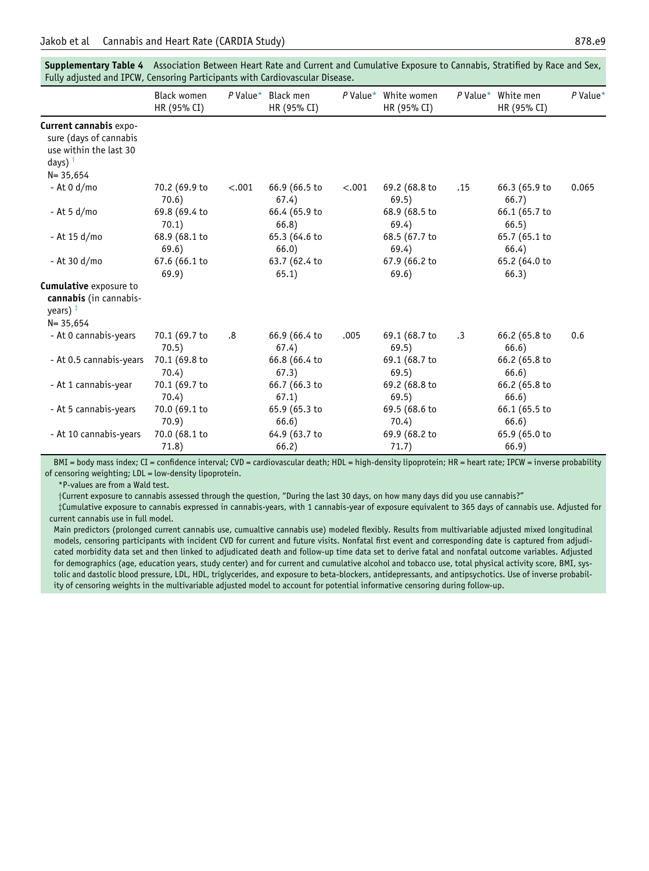| Fully adjusted and IPCW, Censoring Participants with Cardiovascular Disease.                                            |                            |        |                                   |        |                                     |           |                          |            |
|-------------------------------------------------------------------------------------------------------------------------|----------------------------|--------|-----------------------------------|--------|-------------------------------------|-----------|--------------------------|------------|
|                                                                                                                         | Black women<br>HR (95% CI) |        | P Value* Black men<br>HR (95% CI) |        | P Value* White women<br>HR (95% CI) | P Value*  | White men<br>HR (95% CI) | $P$ Value* |
| <b>Current cannabis</b> expo-<br>sure (days of cannabis<br>use within the last 30<br>days) $^{\dagger}$<br>$N = 35,654$ |                            |        |                                   |        |                                     |           |                          |            |
| - At 0 d/mo                                                                                                             | 70.2 (69.9 to<br>70.6)     | < .001 | 66.9 (66.5 to<br>67.4)            | < .001 | 69.2 (68.8 to<br>69.5)              | .15       | 66.3 (65.9 to<br>66.7)   | 0.065      |
| - At 5 d/mo                                                                                                             | 69.8 (69.4 to<br>70.1)     |        | 66.4 (65.9 to<br>66.8)            |        | 68.9 (68.5 to<br>69.4)              |           | 66.1 (65.7 to<br>66.5)   |            |
| - At 15 d/mo                                                                                                            | 68.9 (68.1 to<br>69.6)     |        | 65.3 (64.6 to<br>66.0)            |        | 68.5 (67.7 to<br>69.4)              |           | 65.7 (65.1 to<br>66.4)   |            |
| - At 30 d/mo                                                                                                            | 67.6 (66.1 to<br>69.9)     |        | 63.7 (62.4 to<br>65.1)            |        | 67.9 (66.2 to<br>69.6)              |           | 65.2 (64.0 to<br>66.3)   |            |
| <b>Cumulative</b> exposure to<br>cannabis (in cannabis-<br>years) $\frac{1}{x}$<br>$N = 35,654$                         |                            |        |                                   |        |                                     |           |                          |            |
| - At 0 cannabis-years                                                                                                   | 70.1 (69.7 to<br>70.5)     | .8     | 66.9 (66.4 to<br>67.4)            | .005   | 69.1 (68.7 to<br>69.5)              | $\cdot$ 3 | 66.2 (65.8 to<br>66.6)   | 0.6        |
| - At 0.5 cannabis-years                                                                                                 | 70.1 (69.8 to<br>70.4)     |        | 66.8 (66.4 to<br>67.3)            |        | 69.1 (68.7 to<br>69.5)              |           | 66.2 (65.8 to<br>66.6)   |            |
| - At 1 cannabis-year                                                                                                    | 70.1 (69.7 to<br>70.4)     |        | 66.7 (66.3 to<br>67.1)            |        | 69.2 (68.8 to<br>69.5)              |           | 66.2 (65.8 to<br>66.6)   |            |
| - At 5 cannabis-years                                                                                                   | 70.0 (69.1 to<br>70.9)     |        | 65.9 (65.3 to<br>66.6)            |        | 69.5 (68.6 to<br>70.4)              |           | 66.1 (65.5 to<br>66.6)   |            |
| - At 10 cannabis-years                                                                                                  | 70.0 (68.1 to<br>71.8)     |        | 64.9 (63.7 to<br>66.2)            |        | 69.9 (68.2 to<br>71.7)              |           | 65.9 (65.0 to<br>66.9)   |            |

<span id="page-16-0"></span>Supplementary Table 4 Association Between Heart Rate and Current and Cumulative Exposure to Cannabis, Stratified by Race and Sex, Fully adjusted and IPCW, Censoring Participants with Cardiovascular Disease.

<span id="page-16-1"></span>BMI = body mass index; CI = confidence interval; CVD = cardiovascular death; HDL = high-density lipoprotein; HR = heart rate; IPCW = inverse probability of censoring weighting; LDL = low-density lipoprotein.

\*P-values are from a Wald test.

yCurrent exposure to cannabis assessed through the question, "During the last 30 days, on how many days did you use cannabis?"

<span id="page-16-2"></span>zCumulative exposure to cannabis expressed in cannabis-years, with 1 cannabis-year of exposure equivalent to 365 days of cannabis use. Adjusted for current cannabis use in full model.

Main predictors (prolonged current cannabis use, cumualtive cannabis use) modeled flexibly. Results from multivariable adjusted mixed longitudinal models, censoring participants with incident CVD for current and future visits. Nonfatal first event and corresponding date is captured from adjudicated morbidity data set and then linked to adjudicated death and follow-up time data set to derive fatal and nonfatal outcome variables. Adjusted for demographics (age, education years, study center) and for current and cumulative alcohol and tobacco use, total physical activity score, BMI, systolic and dastolic blood pressure, LDL, HDL, triglycerides, and exposure to beta-blockers, antidepressants, and antipsychotics. Use of inverse probability of censoring weights in the multivariable adjusted model to account for potential informative censoring during follow-up.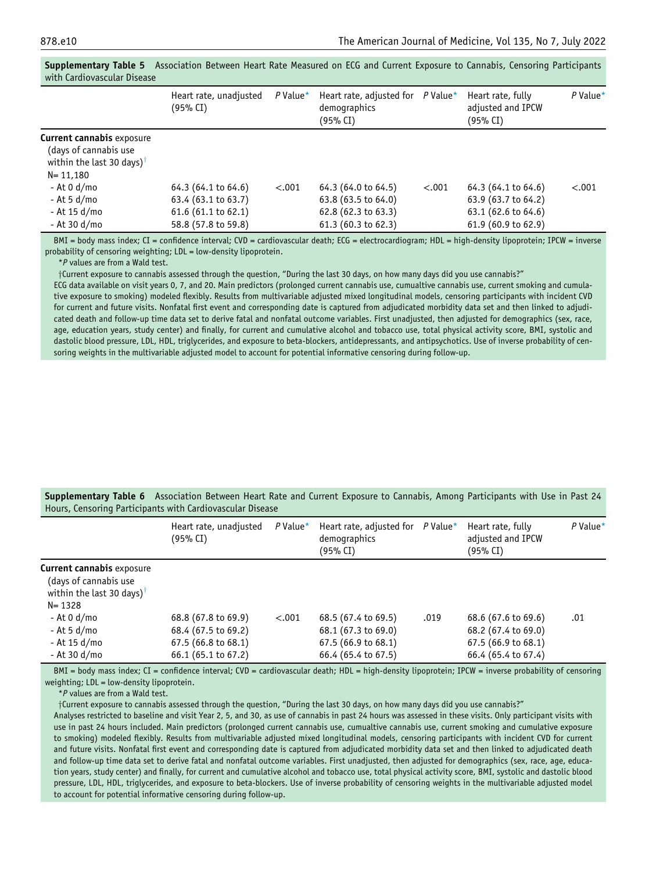|                                                                                                                    | Heart rate, unadjusted<br>(95% CI)                                                                 | $P$ Value* | Heart rate, adjusted for<br>demographics<br>(95% CI)                                                         | $P$ Value* | Heart rate, fully<br>adjusted and IPCW<br>(95% CI)                                       | $P$ Value* |
|--------------------------------------------------------------------------------------------------------------------|----------------------------------------------------------------------------------------------------|------------|--------------------------------------------------------------------------------------------------------------|------------|------------------------------------------------------------------------------------------|------------|
| <b>Current cannabis exposure</b><br>(days of cannabis use<br>within the last 30 days) <sup>†</sup><br>$N = 11,180$ |                                                                                                    |            |                                                                                                              |            |                                                                                          |            |
| - At 0 d/mo<br>- At 5 d/mo<br>- At 15 d/mo<br>- At 30 d/mo                                                         | 64.3 (64.1 to 64.6)<br>63.4 (63.1 to 63.7)<br>$61.6(61.1 \text{ to } 62.1)$<br>58.8 (57.8 to 59.8) | < .001     | 64.3 (64.0 to 64.5)<br>63.8 (63.5 to 64.0)<br>$62.8(62.3 \text{ to } 63.3)$<br>$61.3(60.3 \text{ to } 62.3)$ | $-.001$    | 64.3 (64.1 to 64.6)<br>63.9 (63.7 to 64.2)<br>63.1 (62.6 to 64.6)<br>61.9 (60.9 to 62.9) | < .001     |

<span id="page-17-0"></span>Supplementary Table 5 Association Between Heart Rate Measured on ECG and Current Exposure to Cannabis, Censoring Participants with Cardiovascular Disease

<span id="page-17-2"></span>BMI = body mass index; CI = confidence interval; CVD = cardiovascular death; ECG = electrocardiogram; HDL = high-density lipoprotein; IPCW = inverse probability of censoring weighting; LDL = low-density lipoprotein.

\*P values are from a Wald test.

yCurrent exposure to cannabis assessed through the question, "During the last 30 days, on how many days did you use cannabis?"

ECG data available on visit years 0, 7, and 20. Main predictors (prolonged current cannabis use, cumualtive cannabis use, current smoking and cumulative exposure to smoking) modeled flexibly. Results from multivariable adjusted mixed longitudinal models, censoring participants with incident CVD for current and future visits. Nonfatal first event and corresponding date is captured from adjudicated morbidity data set and then linked to adjudicated death and follow-up time data set to derive fatal and nonfatal outcome variables. First unadjusted, then adjusted for demographics (sex, race, age, education years, study center) and finally, for current and cumulative alcohol and tobacco use, total physical activity score, BMI, systolic and dastolic blood pressure, LDL, HDL, triglycerides, and exposure to beta-blockers, antidepressants, and antipsychotics. Use of inverse probability of censoring weights in the multivariable adjusted model to account for potential informative censoring during follow-up.

<span id="page-17-1"></span>

| <b>Supplementary Table 6</b> Association Between Heart Rate and Current Exposure to Cannabis, Among Participants with Use in Past 24 |  |  |  |  |  |
|--------------------------------------------------------------------------------------------------------------------------------------|--|--|--|--|--|
| Hours, Censoring Participants with Cardiovascular Disease                                                                            |  |  |  |  |  |

|                                                                                                                                                                | Heart rate, unadjusted<br>(95% CI)                                          | $P$ Value* | Heart rate, adjusted for<br>demographics<br>(95% CI)              | $P$ Value* | Heart rate, fully<br>adjusted and IPCW<br>(95% CI)                | $P$ Value* |  |  |  |  |
|----------------------------------------------------------------------------------------------------------------------------------------------------------------|-----------------------------------------------------------------------------|------------|-------------------------------------------------------------------|------------|-------------------------------------------------------------------|------------|--|--|--|--|
| <b>Current cannabis exposure</b><br>(days of cannabis use<br>within the last 30 days) <sup>†</sup><br>$N = 1328$<br>- At 0 d/mo<br>- At 5 d/mo<br>- At 15 d/mo | 68.8 (67.8 to 69.9)<br>68.4 (67.5 to 69.2)<br>$67.5(66.8 \text{ to } 68.1)$ | < .001     | 68.5 (67.4 to 69.5)<br>68.1 (67.3 to 69.0)<br>67.5 (66.9 to 68.1) | .019       | 68.6 (67.6 to 69.6)<br>68.2 (67.4 to 69.0)<br>67.5 (66.9 to 68.1) | .01        |  |  |  |  |
| - At 30 d/mo                                                                                                                                                   | 66.1 (65.1 to 67.2)                                                         |            | 66.4 (65.4 to 67.5)                                               |            | 66.4 (65.4 to 67.4)                                               |            |  |  |  |  |

<span id="page-17-3"></span>BMI = body mass index; CI = confidence interval; CVD = cardiovascular death; HDL = high-density lipoprotein; IPCW = inverse probability of censoring weighting; LDL = low-density lipoprotein.

\*P values are from a Wald test.

yCurrent exposure to cannabis assessed through the question, "During the last 30 days, on how many days did you use cannabis?"

Analyses restricted to baseline and visit Year 2, 5, and 30, as use of cannabis in past 24 hours was assessed in these visits. Only participant visits with use in past 24 hours included. Main predictors (prolonged current cannabis use, cumualtive cannabis use, current smoking and cumulative exposure to smoking) modeled flexibly. Results from multivariable adjusted mixed longitudinal models, censoring participants with incident CVD for current and future visits. Nonfatal first event and corresponding date is captured from adjudicated morbidity data set and then linked to adjudicated death and follow-up time data set to derive fatal and nonfatal outcome variables. First unadjusted, then adjusted for demographics (sex, race, age, education years, study center) and finally, for current and cumulative alcohol and tobacco use, total physical activity score, BMI, systolic and dastolic blood pressure, LDL, HDL, triglycerides, and exposure to beta-blockers. Use of inverse probability of censoring weights in the multivariable adjusted model to account for potential informative censoring during follow-up.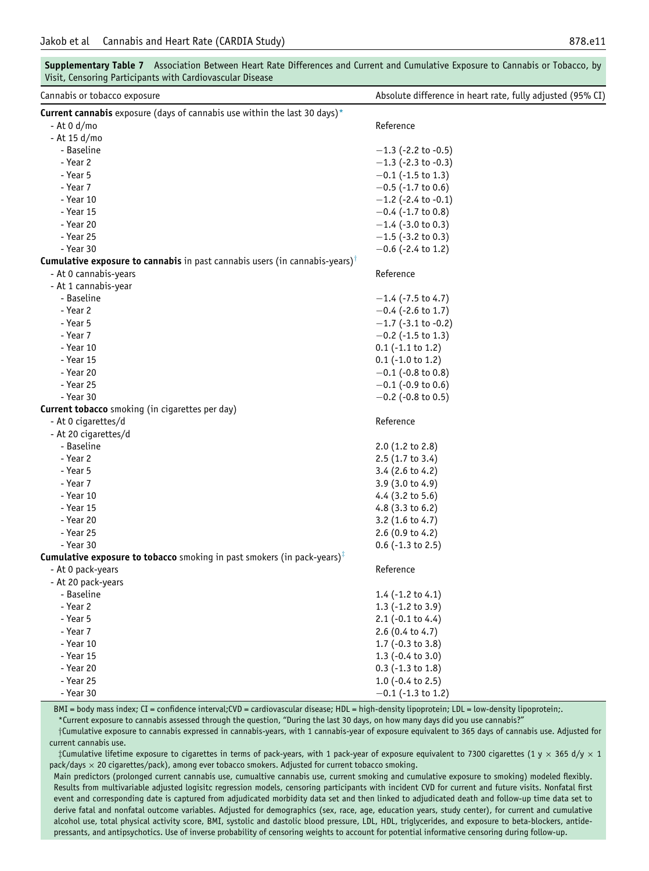<span id="page-18-0"></span>

| Visit, Censoring Participants with Cardiovascular Disease                                                     |                                                            |
|---------------------------------------------------------------------------------------------------------------|------------------------------------------------------------|
| Cannabis or tobacco exposure                                                                                  | Absolute difference in heart rate, fully adjusted (95% CI) |
| Current cannabis exposure (days of cannabis use within the last 30 days)*                                     |                                                            |
| - At 0 d/mo                                                                                                   | Reference                                                  |
| - At 15 d/mo                                                                                                  |                                                            |
| - Baseline                                                                                                    | $-1.3$ (-2.2 to -0.5)                                      |
| - Year 2                                                                                                      | $-1.3$ (-2.3 to -0.3)                                      |
| - Year 5                                                                                                      | $-0.1$ (-1.5 to 1.3)                                       |
| - Year 7                                                                                                      | $-0.5$ (-1.7 to 0.6)                                       |
| - Year 10                                                                                                     | $-1.2$ (-2.4 to -0.1)                                      |
| - Year 15                                                                                                     | $-0.4$ (-1.7 to 0.8)                                       |
| - Year 20                                                                                                     | $-1.4$ (-3.0 to 0.3)                                       |
| - Year 25                                                                                                     | $-1.5$ (-3.2 to 0.3)                                       |
| - Year 30                                                                                                     | $-0.6$ (-2.4 to 1.2)                                       |
| <b>Cumulative exposure to cannabis</b> in past cannabis users (in cannabis-years) <sup>†</sup>                |                                                            |
| - At 0 cannabis-years                                                                                         | Reference                                                  |
| - At 1 cannabis-year                                                                                          |                                                            |
| - Baseline                                                                                                    | $-1.4$ (-7.5 to 4.7)                                       |
| - Year 2                                                                                                      | $-0.4$ (-2.6 to 1.7)                                       |
| - Year 5                                                                                                      | $-1.7$ (-3.1 to -0.2)                                      |
| - Year 7                                                                                                      | $-0.2$ (-1.5 to 1.3)                                       |
| - Year 10                                                                                                     | $0.1$ (-1.1 to 1.2)                                        |
| - Year 15                                                                                                     | $0.1$ (-1.0 to 1.2)                                        |
| - Year 20                                                                                                     | $-0.1$ (-0.8 to 0.8)                                       |
| - Year 25                                                                                                     | $-0.1$ (-0.9 to 0.6)                                       |
| - Year 30                                                                                                     | $-0.2$ (-0.8 to 0.5)                                       |
| Current tobacco smoking (in cigarettes per day)                                                               |                                                            |
| - At 0 cigarettes/d                                                                                           | Reference                                                  |
| - At 20 cigarettes/d                                                                                          |                                                            |
| - Baseline                                                                                                    | $2.0$ (1.2 to 2.8)                                         |
| - Year 2                                                                                                      | $2.5(1.7 \text{ to } 3.4)$                                 |
| - Year 5                                                                                                      | $3.4$ (2.6 to 4.2)                                         |
| - Year 7                                                                                                      | $3.9(3.0 \text{ to } 4.9)$                                 |
| - Year 10                                                                                                     | 4.4 $(3.2 \text{ to } 5.6)$                                |
| - Year 15                                                                                                     | 4.8 $(3.3 \text{ to } 6.2)$                                |
| - Year 20                                                                                                     | 3.2 $(1.6 \text{ to } 4.7)$                                |
| - Year 25                                                                                                     | 2.6 $(0.9 \text{ to } 4.2)$                                |
| - Year 30                                                                                                     | $0.6$ (-1.3 to 2.5)                                        |
| <b>Cumulative exposure to tobacco</b> smoking in past smokers (in pack-years) <sup><math>\dagger</math></sup> |                                                            |
| - At 0 pack-years                                                                                             | Reference                                                  |
| - At 20 pack-years                                                                                            |                                                            |
| - Baseline                                                                                                    | 1.4 $(-1.2 \text{ to } 4.1)$                               |
| - Year 2                                                                                                      | 1.3 $(-1.2 \text{ to } 3.9)$                               |
| - Year 5                                                                                                      | $2.1$ (-0.1 to 4.4)                                        |
| - Year 7                                                                                                      | $2.6$ (0.4 to 4.7)                                         |
| - Year 10                                                                                                     | 1.7 (-0.3 to 3.8)                                          |
| - Year 15                                                                                                     | $1.3$ (-0.4 to 3.0)                                        |
| - Year 20                                                                                                     | $0.3$ (-1.3 to 1.8)                                        |
| - Year 25                                                                                                     | 1.0 $(-0.4 \text{ to } 2.5)$                               |
| - Year 30                                                                                                     | $-0.1$ (-1.3 to 1.2)                                       |
|                                                                                                               |                                                            |

Supplementary Table 7 Association Between Heart Rate Differences and Current and Cumulative Exposure to Cannabis or Tobacco, by

BMI = body mass index; CI = confidence interval;CVD = cardiovascular disease; HDL = high-density lipoprotein; LDL = low-density lipoprotein;.

\*Current exposure to cannabis assessed through the question, "During the last 30 days, on how many days did you use cannabis?"

<span id="page-18-2"></span><span id="page-18-1"></span>yCumulative exposure to cannabis expressed in cannabis-years, with 1 cannabis-year of exposure equivalent to 365 days of cannabis use. Adjusted for current cannabis use.

‡Cumulative lifetime exposure to cigarettes in terms of pack-years, with 1 pack-year of exposure equivalent to 7300 cigarettes (1 y  $\times$  365 d/y  $\times$  1  $pack/day \times 20$  cigarettes/pack), among ever tobacco smokers. Adjusted for current tobacco smoking.

Main predictors (prolonged current cannabis use, cumualtive cannabis use, current smoking and cumulative exposure to smoking) modeled flexibly. Results from multivariable adjusted logisitc regression models, censoring participants with incident CVD for current and future visits. Nonfatal first event and corresponding date is captured from adjudicated morbidity data set and then linked to adjudicated death and follow-up time data set to derive fatal and nonfatal outcome variables. Adjusted for demographics (sex, race, age, education years, study center), for current and cumulative alcohol use, total physical activity score, BMI, systolic and dastolic blood pressure, LDL, HDL, triglycerides, and exposure to beta-blockers, antidepressants, and antipsychotics. Use of inverse probability of censoring weights to account for potential informative censoring during follow-up.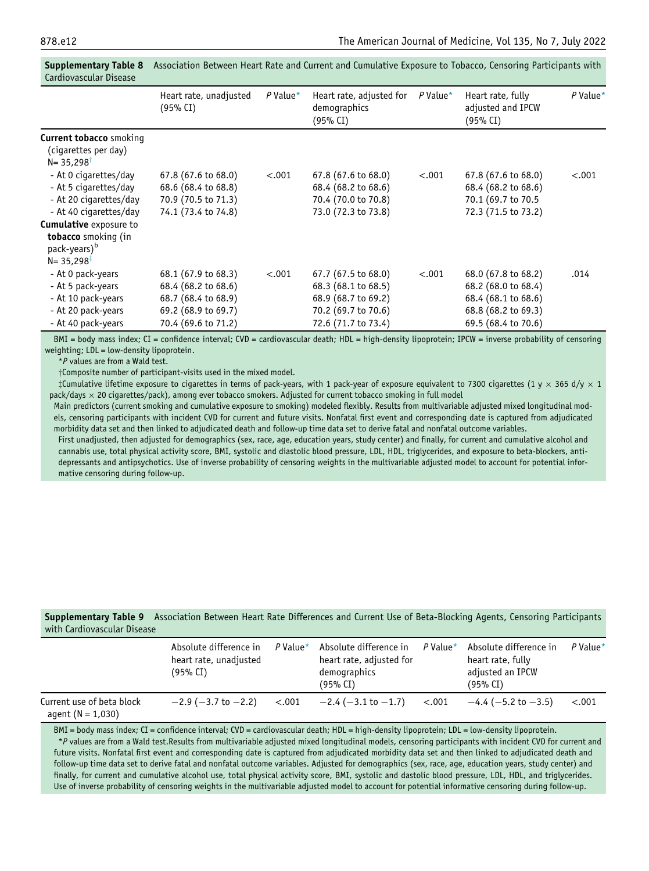|                                                                                                                                     | Heart rate, unadjusted<br>(95% CI)                                                                              | $P$ Value* | Heart rate, adjusted for<br>demographics<br>(95% CI)                                                            | $P$ Value* | Heart rate, fully<br>adjusted and IPCW<br>(95% CI)                                                              | $P$ Value* |
|-------------------------------------------------------------------------------------------------------------------------------------|-----------------------------------------------------------------------------------------------------------------|------------|-----------------------------------------------------------------------------------------------------------------|------------|-----------------------------------------------------------------------------------------------------------------|------------|
| <b>Current tobacco</b> smoking<br>(cigarettes per day)<br>$N = 35,298$ <sup>†</sup>                                                 |                                                                                                                 |            |                                                                                                                 |            |                                                                                                                 |            |
| - At 0 cigarettes/day<br>- At 5 cigarettes/day<br>- At 20 cigarettes/day<br>- At 40 cigarettes/day<br><b>Cumulative</b> exposure to | 67.8 (67.6 to 68.0)<br>68.6 (68.4 to 68.8)<br>70.9 (70.5 to 71.3)<br>74.1 (73.4 to 74.8)                        | < .001     | 67.8 (67.6 to 68.0)<br>68.4 (68.2 to 68.6)<br>70.4 (70.0 to 70.8)<br>73.0 (72.3 to 73.8)                        | < .001     | 67.8 (67.6 to 68.0)<br>68.4 (68.2 to 68.6)<br>70.1 (69.7 to 70.5<br>72.3 (71.5 to 73.2)                         | < .001     |
| tobacco smoking (in<br>pack-years) <sup>b</sup><br>$N = 35,298$ <sup>T</sup>                                                        |                                                                                                                 |            |                                                                                                                 |            |                                                                                                                 |            |
| - At 0 pack-years<br>- At 5 pack-years<br>- At 10 pack-years<br>- At 20 pack-years<br>- At 40 pack-years                            | 68.1 (67.9 to 68.3)<br>68.4 (68.2 to 68.6)<br>68.7 (68.4 to 68.9)<br>69.2 (68.9 to 69.7)<br>70.4 (69.6 to 71.2) | < .001     | 67.7 (67.5 to 68.0)<br>68.3 (68.1 to 68.5)<br>68.9 (68.7 to 69.2)<br>70.2 (69.7 to 70.6)<br>72.6 (71.7 to 73.4) | < .001     | 68.0 (67.8 to 68.2)<br>68.2 (68.0 to 68.4)<br>68.4 (68.1 to 68.6)<br>68.8 (68.2 to 69.3)<br>69.5 (68.4 to 70.6) | .014       |
|                                                                                                                                     |                                                                                                                 |            |                                                                                                                 |            |                                                                                                                 |            |

<span id="page-19-0"></span>Supplementary Table 8 Association Between Heart Rate and Current and Cumulative Exposure to Tobacco, Censoring Participants with Cardiovascular Disease

<span id="page-19-2"></span>BMI = body mass index; CI = confidence interval; CVD = cardiovascular death; HDL = high-density lipoprotein; IPCW = inverse probability of censoring weighting; LDL = low-density lipoprotein.

\*P values are from a Wald test.

†Composite number of participant-visits used in the mixed model.

<span id="page-19-3"></span> $\ddagger$ Cumulative lifetime exposure to cigarettes in terms of pack-years, with 1 pack-year of exposure equivalent to 7300 cigarettes (1 y  $\times$  365 d/y  $\times$  1 pack/days  $\times$  20 cigarettes/pack), among ever tobacco smokers. Adjusted for current tobacco smoking in full model

Main predictors (current smoking and cumulative exposure to smoking) modeled flexibly. Results from multivariable adjusted mixed longitudinal models, censoring participants with incident CVD for current and future visits. Nonfatal first event and corresponding date is captured from adjudicated morbidity data set and then linked to adjudicated death and follow-up time data set to derive fatal and nonfatal outcome variables.

First unadjusted, then adjusted for demographics (sex, race, age, education years, study center) and finally, for current and cumulative alcohol and cannabis use, total physical activity score, BMI, systolic and diastolic blood pressure, LDL, HDL, triglycerides, and exposure to beta-blockers, antidepressants and antipsychotics. Use of inverse probability of censoring weights in the multivariable adjusted model to account for potential informative censoring during follow-up.

<span id="page-19-1"></span>Supplementary Table 9 Association Between Heart Rate Differences and Current Use of Beta-Blocking Agents, Censoring Participants with Cardiovascular Disease

|                                                    | Absolute difference in<br>heart rate, unadjusted<br>(95% CI) | P Value* | Absolute difference in<br>heart rate, adjusted for<br>demographics<br>(95% CI) | P Value $*$ | Absolute difference in<br>heart rate, fully<br>adjusted an IPCW<br>(95% CI) | $P$ Value* |
|----------------------------------------------------|--------------------------------------------------------------|----------|--------------------------------------------------------------------------------|-------------|-----------------------------------------------------------------------------|------------|
| Current use of beta block<br>agent ( $N = 1,030$ ) | $-2.9$ ( $-3.7$ to $-2.2$ )                                  | < .001   | $-2.4$ ( $-3.1$ to $-1.7$ )                                                    | < .001      | $-4.4$ (-5.2 to -3.5)                                                       | $-.001$    |

<span id="page-19-4"></span>BMI = body mass index; CI = confidence interval; CVD = cardiovascular death; HDL = high-density lipoprotein; LDL = low-density lipoprotein. \*P values are from a Wald test.Results from multivariable adjusted mixed longitudinal models, censoring participants with incident CVD for current and future visits. Nonfatal first event and corresponding date is captured from adjudicated morbidity data set and then linked to adjudicated death and follow-up time data set to derive fatal and nonfatal outcome variables. Adjusted for demographics (sex, race, age, education years, study center) and finally, for current and cumulative alcohol use, total physical activity score, BMI, systolic and dastolic blood pressure, LDL, HDL, and triglycerides. Use of inverse probability of censoring weights in the multivariable adjusted model to account for potential informative censoring during follow-up.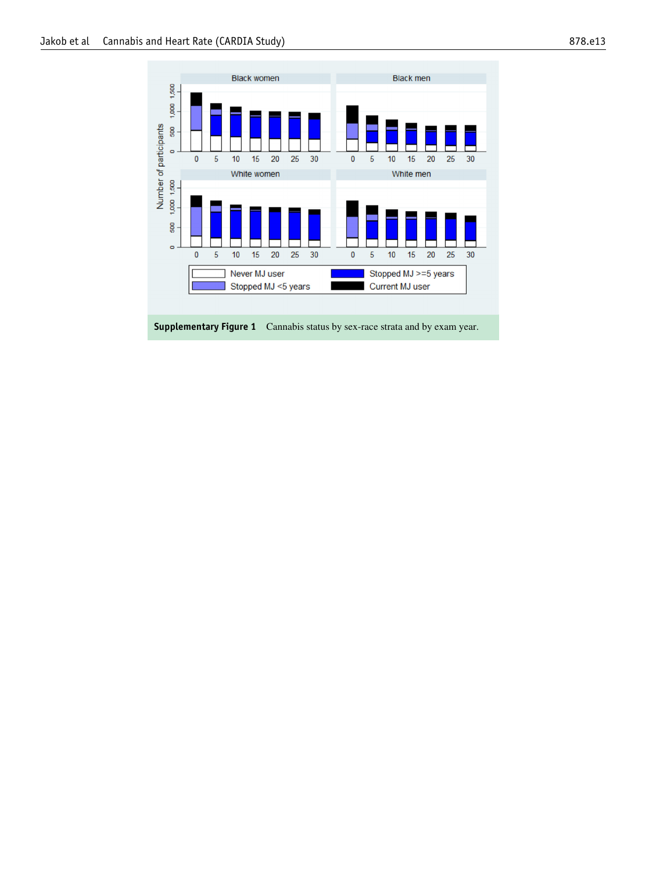<span id="page-20-0"></span>